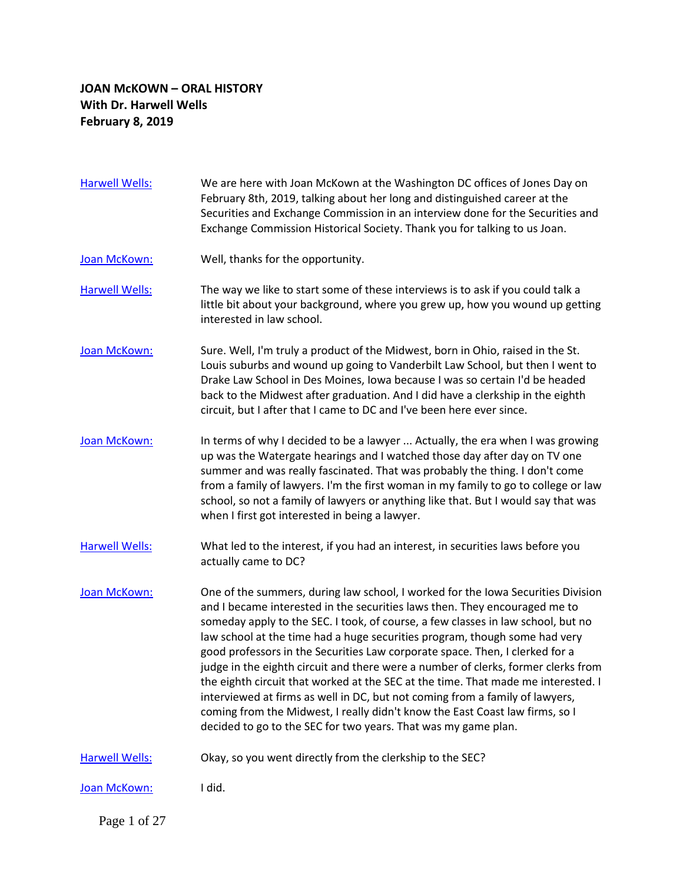## **JOAN McKOWN – ORAL HISTORY With Dr. Harwell Wells February 8, 2019**

- [Harwell Wells:](https://www.rev.com/transcript-editor/Edit?token=oRIKAZ5b_YtdS-hW-ITdTXcmpdGmg2bMh-K_ltQPSI1ymz8c-P1fP4J63QqiZxci9E40UtPsKBbB7d5kuP1N7F5gPCY&loadFrom=DocumentSpeakerNameDeeplink&ts=0.4) We are here with Joan McKown at the Washington DC offices of Jones Day on February 8th, 2019, talking about her long and distinguished career at the Securities and Exchange Commission in an interview done for the Securities and Exchange Commission Historical Society. Thank you for talking to us Joan.
- [Joan McKown:](https://www.rev.com/transcript-editor/Edit?token=BxGnyhLLVBctBKjOYMtKYcw2pRXbvaKrscMqclAMlgzdFNr6e2SlT4h_sxy6I12g1j9XH3r9CvAf_khhk8hHuLVZ5j4&loadFrom=DocumentSpeakerNameDeeplink&ts=16.65) Well, thanks for the opportunity.
- [Harwell Wells:](https://www.rev.com/transcript-editor/Edit?token=oGo0Ft-mo8P7RmJdsO26paPtkKwwQWUVtyPbgM0YSwa9_5O0kd1eviYXVJCfR_F8WCpWt0jgJcAZvjgPTD6t2IztGvc&loadFrom=DocumentSpeakerNameDeeplink&ts=20.03) The way we like to start some of these interviews is to ask if you could talk a little bit about your background, where you grew up, how you wound up getting interested in law school.
- [Joan McKown:](https://www.rev.com/transcript-editor/Edit?token=m-6B66dc7ynIcx5xT2_YEdz0x8lUZ6-wl6Q5tZuKTxjFKhf76Pm2mBv0UKN-VF2gK4LbNysUt5Ca5mSco-r74Bxw5ao&loadFrom=DocumentSpeakerNameDeeplink&ts=28.62) Sure. Well, I'm truly a product of the Midwest, born in Ohio, raised in the St. Louis suburbs and wound up going to Vanderbilt Law School, but then I went to Drake Law School in Des Moines, Iowa because I was so certain I'd be headed back to the Midwest after graduation. And I did have a clerkship in the eighth circuit, but I after that I came to DC and I've been here ever since.
- [Joan McKown:](https://www.rev.com/transcript-editor/Edit?token=Tli9_bO0CtpEsh4vZehHdrWU6d4soJWcUCnc4H8q0I7PWXWsmwTDuM7y2xmA3H-_fdS5_InJSWRXpvWADkWAKRvL0MU&loadFrom=DocumentSpeakerNameDeeplink&ts=55.29) In terms of why I decided to be a lawyer ... Actually, the era when I was growing up was the Watergate hearings and I watched those day after day on TV one summer and was really fascinated. That was probably the thing. I don't come from a family of lawyers. I'm the first woman in my family to go to college or law school, so not a family of lawyers or anything like that. But I would say that was when I first got interested in being a lawyer.
- [Harwell Wells:](https://www.rev.com/transcript-editor/Edit?token=Z5qWe7T4hWzrUo2cfb3g23aZGk_wrckGnCAR1oXBi3xwdXps31casDkGeE3Y0PGH5PW09volmUmT8WDp0yXDPx18SJg&loadFrom=DocumentSpeakerNameDeeplink&ts=84.48) What led to the interest, if you had an interest, in securities laws before you actually came to DC?
- [Joan McKown:](https://www.rev.com/transcript-editor/Edit?token=PZfWGu2uunzXj1aLru5vPSlhjdTTa5574fHAzxEDubHNf4kBg93hK1GwLyuHJfoXYGe-vwQNKgYqSPz4SnRXRF_Tzkw&loadFrom=DocumentSpeakerNameDeeplink&ts=90.34) One of the summers, during law school, I worked for the Iowa Securities Division and I became interested in the securities laws then. They encouraged me to someday apply to the SEC. I took, of course, a few classes in law school, but no law school at the time had a huge securities program, though some had very good professors in the Securities Law corporate space. Then, I clerked for a judge in the eighth circuit and there were a number of clerks, former clerks from the eighth circuit that worked at the SEC at the time. That made me interested. I interviewed at firms as well in DC, but not coming from a family of lawyers, coming from the Midwest, I really didn't know the East Coast law firms, so I decided to go to the SEC for two years. That was my game plan.
- [Harwell Wells:](https://www.rev.com/transcript-editor/Edit?token=0s6IPvYe6YqauEC0-BLgOKW3iJ5M1_juWaIgGeCZQGf6S6uRlaZvTCChhtwGXwIrFJHA8wxcs64Tx5HdYQxaR-j-b3M&loadFrom=DocumentSpeakerNameDeeplink&ts=146.25) Okay, so you went directly from the clerkship to the SEC?

[Joan McKown:](https://www.rev.com/transcript-editor/Edit?token=13BhuhZ12Tz5WEzqwDpruhzLJ3UB6k7rN5MwvkGUrTyWKqDx62_wIMudQWDepxw44fscnTnf6X_qOkqU_6cB0g_25EM&loadFrom=DocumentSpeakerNameDeeplink&ts=149.07) I did.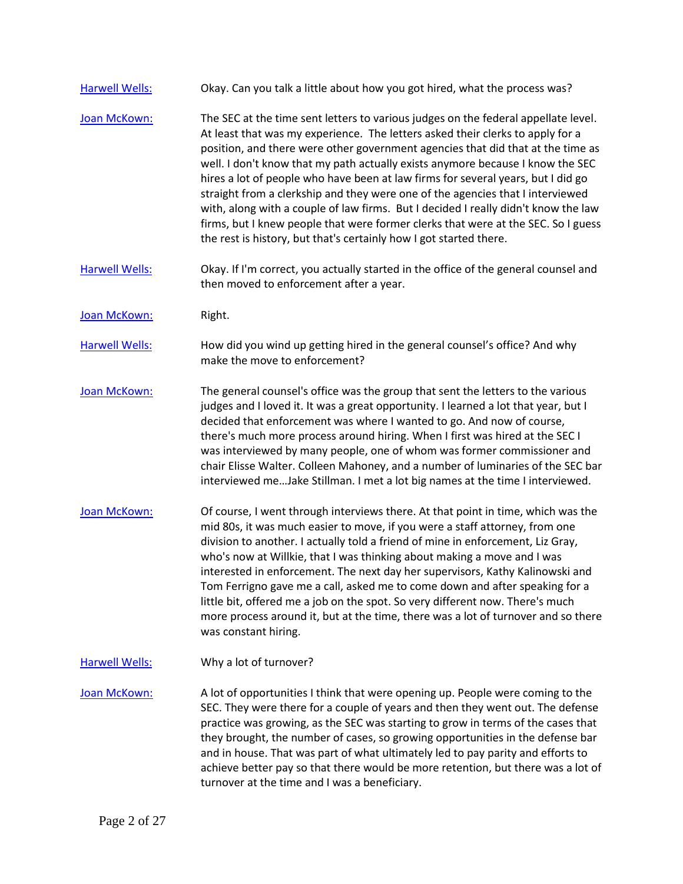- [Harwell Wells:](https://www.rev.com/transcript-editor/Edit?token=4I9TG69I9nLl1iWGTZg8qplyvJxWcIWS4wWkEa0gorZcLtY6zsWoYiOQ4aLavEds9qY8oj0a4UYMOuxQegGXH-115yI&loadFrom=DocumentSpeakerNameDeeplink&ts=149.79) Okay. Can you talk a little about how you got hired, what the process was?
- [Joan McKown:](https://www.rev.com/transcript-editor/Edit?token=iBu7W3bWIlDPQQNUOveVvO8fVRRo2TXmn2C5gGalhjslrBCd7htGBveWxLv6ohAWV9_bfY11bYQcJGD1wB72UIymJJA&loadFrom=DocumentSpeakerNameDeeplink&ts=155.75) The SEC at the time sent letters to various judges on the federal appellate level. At least that was my experience. The letters asked their clerks to apply for a position, and there were other government agencies that did that at the time as well. I don't know that my path actually exists anymore because I know the SEC hires a lot of people who have been at law firms for several years, but I did go straight from a clerkship and they were one of the agencies that I interviewed with, along with a couple of law firms. But I decided I really didn't know the law firms, but I knew people that were former clerks that were at the SEC. So I guess the rest is history, but that's certainly how I got started there.
- [Harwell Wells:](https://www.rev.com/transcript-editor/Edit?token=Mu9Wi9Z9W326Hi4MDHlbego4-SasN_1gFGSquVD4ub5a_zb4USNNS2ZDJju7W1kIk-4LHECOP76eXJ6KmstFGVopmAY&loadFrom=DocumentSpeakerNameDeeplink&ts=210.27) Okay. If I'm correct, you actually started in the office of the general counsel and then moved to enforcement after a year.
- [Joan McKown:](https://www.rev.com/transcript-editor/Edit?token=m87yK-lXrI2n6Lch8lLJ2NoJgYDeNbkWFhDTJVXAHMg4ipeG8Z85qUSDs79TMmBvBo3bpTvp1bonXCSq4i6i0JP8GHY&loadFrom=DocumentSpeakerNameDeeplink&ts=216.32) Right.
- [Harwell Wells:](https://www.rev.com/transcript-editor/Edit?token=oM-YTbyFei62Uv8j9wtiGe7EWx0NxjFjbO5KzK4oVv7X4OfO2QF9FKtGPXBCJtd7lVi3cobILVvo6w2L2qtZJwdhIrQ&loadFrom=DocumentSpeakerNameDeeplink&ts=218.99) How did you wind up getting hired in the general counsel's office? And why make the move to enforcement?
- [Joan McKown:](https://www.rev.com/transcript-editor/Edit?token=B2f9P6j_T-e12TdQYfFhbdGWMrztOkgFGmR4ul-U1hWtHozPggPQ_vtyKtkUSIvAtRaMIOcyiihth3n5sIxSb2Q8E7s&loadFrom=DocumentSpeakerNameDeeplink&ts=220.35) The general counsel's office was the group that sent the letters to the various judges and I loved it. It was a great opportunity. I learned a lot that year, but I decided that enforcement was where I wanted to go. And now of course, there's much more process around hiring. When I first was hired at the SEC I was interviewed by many people, one of whom was former commissioner and chair Elisse Walter. Colleen Mahoney, and a number of luminaries of the SEC bar interviewed me…Jake Stillman. I met a lot big names at the time I interviewed.
- [Joan McKown:](https://www.rev.com/transcript-editor/Edit?token=3wGNJYqcAWMlnhYTXKgqLgggMjsHyhKJV7t_E2ugxI0ZJL04PcnvTPDYeljFVpoLXo3JjSLo-7IrV9UhWxNN8_hRehg&loadFrom=DocumentSpeakerNameDeeplink&ts=265.19) Of course, I went through interviews there. At that point in time, which was the mid 80s, it was much easier to move, if you were a staff attorney, from one division to another. I actually told a friend of mine in enforcement, Liz Gray, who's now at Willkie, that I was thinking about making a move and I was interested in enforcement. The next day her supervisors, Kathy Kalinowski and Tom Ferrigno gave me a call, asked me to come down and after speaking for a little bit, offered me a job on the spot. So very different now. There's much more process around it, but at the time, there was a lot of turnover and so there was constant hiring.
- [Harwell Wells:](https://www.rev.com/transcript-editor/Edit?token=bktYyqMVP-3DWUva6R8Oi48l2diXTrtZATgVPBz8r4X9C9G5BuLNx1SW2r2f32YiMG_6gGR312o4zBRVC4oGPG7gAdQ&loadFrom=DocumentSpeakerNameDeeplink&ts=310.49) Why a lot of turnover?

[Joan McKown:](https://www.rev.com/transcript-editor/Edit?token=o9E35ZwpvEv7NS-zBNCpjoXZIHqZnxev3M70fKO1xGLPjPwkiUWYxMwzlhm1wL22MBwfpq5BN9x186pXWrYd-6ovDtI&loadFrom=DocumentSpeakerNameDeeplink&ts=313.7) A lot of opportunities I think that were opening up. People were coming to the SEC. They were there for a couple of years and then they went out. The defense practice was growing, as the SEC was starting to grow in terms of the cases that they brought, the number of cases, so growing opportunities in the defense bar and in house. That was part of what ultimately led to pay parity and efforts to achieve better pay so that there would be more retention, but there was a lot of turnover at the time and I was a beneficiary.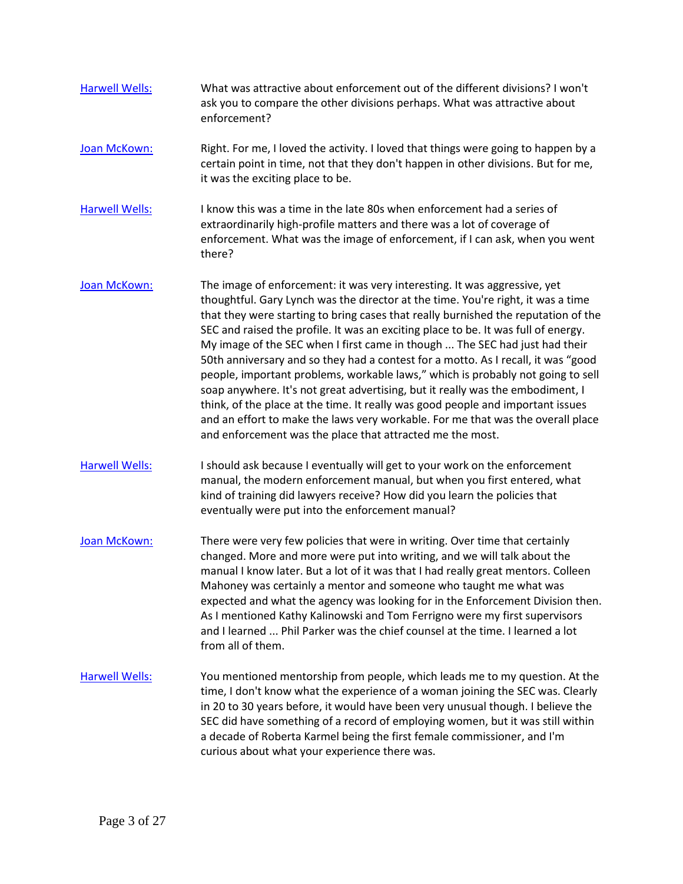- [Harwell Wells:](https://www.rev.com/transcript-editor/Edit?token=YUJP28UdSOFWmYt38mG8TU8JLSN0ISWzhhJABxhCRxbM6isa_IV5GT-bDriK1mByr3tCV-SpDSQoP6-y0tTb-2-MKkI&loadFrom=DocumentSpeakerNameDeeplink&ts=355.14) What was attractive about enforcement out of the different divisions? I won't ask you to compare the other divisions perhaps. What was attractive about enforcement?
- [Joan McKown:](https://www.rev.com/transcript-editor/Edit?token=FoGC7p_mqtTg_DLVI6hulmvN2AjPU1hi7nldAcDAaMkPlHvddBw6mKNKHfgrdomxznlWpmaqBhympLjHz3ahBELIYz8&loadFrom=DocumentSpeakerNameDeeplink&ts=361.7) Right. For me, I loved the activity. I loved that things were going to happen by a certain point in time, not that they don't happen in other divisions. But for me, it was the exciting place to be.
- [Harwell Wells:](https://www.rev.com/transcript-editor/Edit?token=Ub0Pscc34u1_4K_qV8NkkXCJ1lUROzZCj2LV0Hm8upmu24miPHDJHkGE0qEnngW6Pq5uxlphue0YdMS4ZCndmV8OjuA&loadFrom=DocumentSpeakerNameDeeplink&ts=380.69) I know this was a time in the late 80s when enforcement had a series of extraordinarily high-profile matters and there was a lot of coverage of enforcement. What was the image of enforcement, if I can ask, when you went there?
- [Joan McKown:](https://www.rev.com/transcript-editor/Edit?token=FiV9IpTIQpq_upwtUlVa0re3VyvkODNu4YI5WC5wyEeVI0Qi7VavYQtqbbJiO7l8vTWRoJTiQvYsmHX5zDFKqO1Jx9E&loadFrom=DocumentSpeakerNameDeeplink&ts=394.29) The image of enforcement: it was very interesting. It was aggressive, yet thoughtful. Gary Lynch was the director at the time. You're right, it was a time that they were starting to bring cases that really burnished the reputation of the SEC and raised the profile. It was an exciting place to be. It was full of energy. My image of the SEC when I first came in though ... The SEC had just had their 50th anniversary and so they had a contest for a motto. As I recall, it was "good people, important problems, workable laws," which is probably not going to sell soap anywhere. It's not great advertising, but it really was the embodiment, I think, of the place at the time. It really was good people and important issues and an effort to make the laws very workable. For me that was the overall place and enforcement was the place that attracted me the most.
- [Harwell Wells:](https://www.rev.com/transcript-editor/Edit?token=RET0xyTHS8XKA5Bl4G4C7l0jJXfGRX1lJjw4Sf2WMew57KOzgz03eqPetVlXOFxmXkm5kRVfssjLKIDACBaCLY-SyTQ&loadFrom=DocumentSpeakerNameDeeplink&ts=459.66) I should ask because I eventually will get to your work on the enforcement manual, the modern enforcement manual, but when you first entered, what kind of training did lawyers receive? How did you learn the policies that eventually were put into the enforcement manual?
- [Joan McKown:](https://www.rev.com/transcript-editor/Edit?token=Eu_vbUUOS8xAmYUOQc5DxTTvZZJpqAfBOtP0GrEwm3nu5T6v4ukDugoVFN_EEKDNbqPIA7pz_3mCIS_U2KD-aaf8Jfo&loadFrom=DocumentSpeakerNameDeeplink&ts=473.79) There were very few policies that were in writing. Over time that certainly changed. More and more were put into writing, and we will talk about the manual I know later. But a lot of it was that I had really great mentors. Colleen Mahoney was certainly a mentor and someone who taught me what was expected and what the agency was looking for in the Enforcement Division then. As I mentioned Kathy Kalinowski and Tom Ferrigno were my first supervisors and I learned ... Phil Parker was the chief counsel at the time. I learned a lot from all of them.
- [Harwell Wells:](https://www.rev.com/transcript-editor/Edit?token=nOxhWQvXHsaRk2N0_gQiIs7xuA9fs0rRMvlxzX4tMoFR5uYTQ3HPikSAo_gxCTTEKC1jrXTgjm7U32b04QlC0RIB1LA&loadFrom=DocumentSpeakerNameDeeplink&ts=511.44) You mentioned mentorship from people, which leads me to my question. At the time, I don't know what the experience of a woman joining the SEC was. Clearly in 20 to 30 years before, it would have been very unusual though. I believe the SEC did have something of a record of employing women, but it was still within a decade of Roberta Karmel being the first female commissioner, and I'm curious about what your experience there was.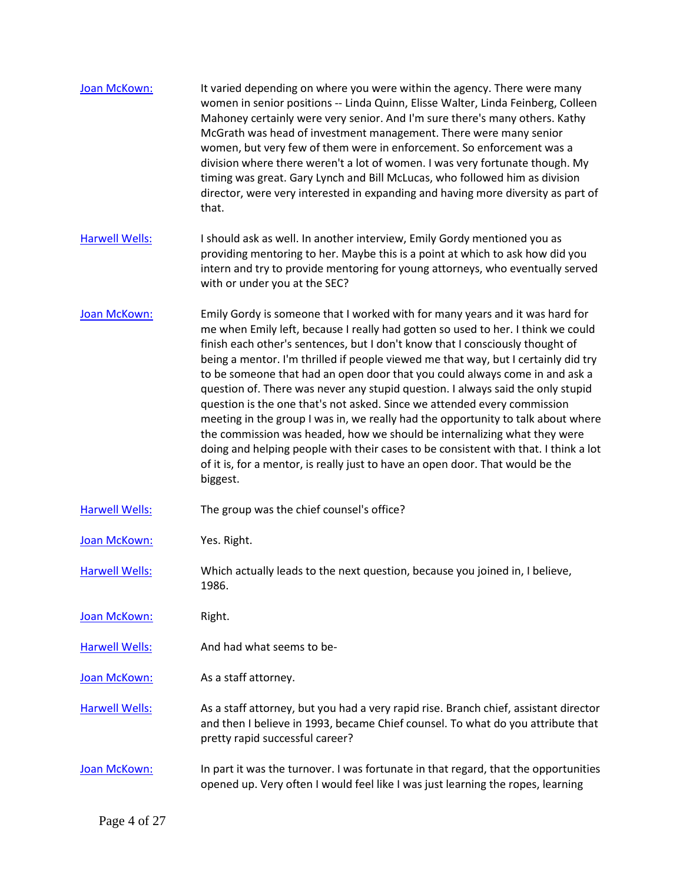| Joan McKown:          | It varied depending on where you were within the agency. There were many<br>women in senior positions -- Linda Quinn, Elisse Walter, Linda Feinberg, Colleen<br>Mahoney certainly were very senior. And I'm sure there's many others. Kathy<br>McGrath was head of investment management. There were many senior<br>women, but very few of them were in enforcement. So enforcement was a<br>division where there weren't a lot of women. I was very fortunate though. My<br>timing was great. Gary Lynch and Bill McLucas, who followed him as division<br>director, were very interested in expanding and having more diversity as part of<br>that.                                                                                                                                                                                                                                                                                      |
|-----------------------|--------------------------------------------------------------------------------------------------------------------------------------------------------------------------------------------------------------------------------------------------------------------------------------------------------------------------------------------------------------------------------------------------------------------------------------------------------------------------------------------------------------------------------------------------------------------------------------------------------------------------------------------------------------------------------------------------------------------------------------------------------------------------------------------------------------------------------------------------------------------------------------------------------------------------------------------|
| <b>Harwell Wells:</b> | I should ask as well. In another interview, Emily Gordy mentioned you as<br>providing mentoring to her. Maybe this is a point at which to ask how did you<br>intern and try to provide mentoring for young attorneys, who eventually served<br>with or under you at the SEC?                                                                                                                                                                                                                                                                                                                                                                                                                                                                                                                                                                                                                                                               |
| Joan McKown:          | Emily Gordy is someone that I worked with for many years and it was hard for<br>me when Emily left, because I really had gotten so used to her. I think we could<br>finish each other's sentences, but I don't know that I consciously thought of<br>being a mentor. I'm thrilled if people viewed me that way, but I certainly did try<br>to be someone that had an open door that you could always come in and ask a<br>question of. There was never any stupid question. I always said the only stupid<br>question is the one that's not asked. Since we attended every commission<br>meeting in the group I was in, we really had the opportunity to talk about where<br>the commission was headed, how we should be internalizing what they were<br>doing and helping people with their cases to be consistent with that. I think a lot<br>of it is, for a mentor, is really just to have an open door. That would be the<br>biggest. |
| <b>Harwell Wells:</b> | The group was the chief counsel's office?                                                                                                                                                                                                                                                                                                                                                                                                                                                                                                                                                                                                                                                                                                                                                                                                                                                                                                  |
| Joan McKown:          | Yes. Right.                                                                                                                                                                                                                                                                                                                                                                                                                                                                                                                                                                                                                                                                                                                                                                                                                                                                                                                                |
| <b>Harwell Wells:</b> | Which actually leads to the next question, because you joined in, I believe,<br>1986.                                                                                                                                                                                                                                                                                                                                                                                                                                                                                                                                                                                                                                                                                                                                                                                                                                                      |
| Joan McKown:          | Right.                                                                                                                                                                                                                                                                                                                                                                                                                                                                                                                                                                                                                                                                                                                                                                                                                                                                                                                                     |
| <b>Harwell Wells:</b> | And had what seems to be-                                                                                                                                                                                                                                                                                                                                                                                                                                                                                                                                                                                                                                                                                                                                                                                                                                                                                                                  |
| Joan McKown:          | As a staff attorney.                                                                                                                                                                                                                                                                                                                                                                                                                                                                                                                                                                                                                                                                                                                                                                                                                                                                                                                       |
| <b>Harwell Wells:</b> | As a staff attorney, but you had a very rapid rise. Branch chief, assistant director<br>and then I believe in 1993, became Chief counsel. To what do you attribute that<br>pretty rapid successful career?                                                                                                                                                                                                                                                                                                                                                                                                                                                                                                                                                                                                                                                                                                                                 |
| Joan McKown:          | In part it was the turnover. I was fortunate in that regard, that the opportunities<br>opened up. Very often I would feel like I was just learning the ropes, learning                                                                                                                                                                                                                                                                                                                                                                                                                                                                                                                                                                                                                                                                                                                                                                     |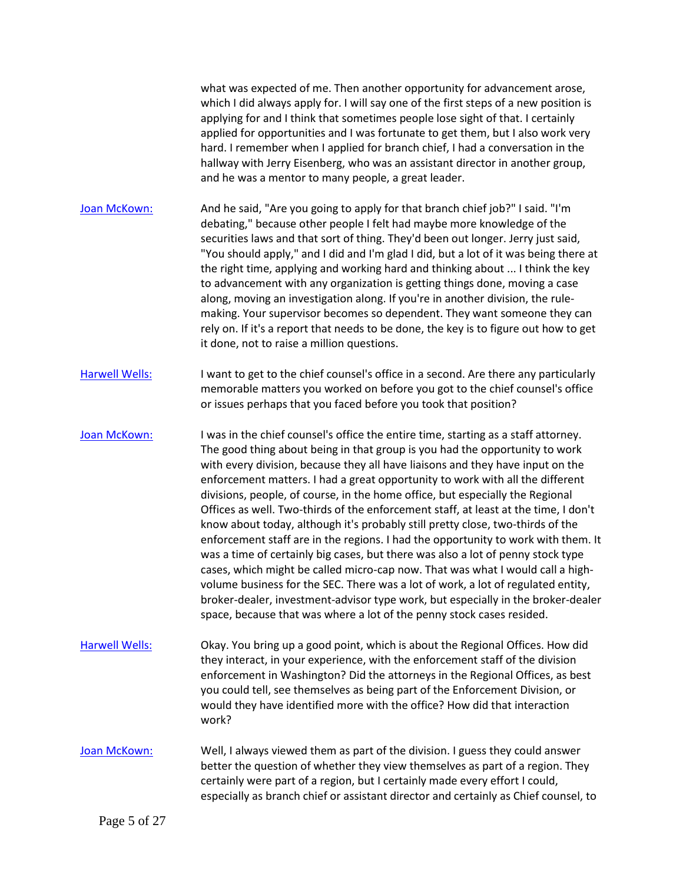what was expected of me. Then another opportunity for advancement arose, which I did always apply for. I will say one of the first steps of a new position is applying for and I think that sometimes people lose sight of that. I certainly applied for opportunities and I was fortunate to get them, but I also work very hard. I remember when I applied for branch chief, I had a conversation in the hallway with Jerry Eisenberg, who was an assistant director in another group, and he was a mentor to many people, a great leader.

[Joan McKown:](https://www.rev.com/transcript-editor/Edit?token=uoinDxan92ked4aVyajbOrN0J6tJYG3fW7qsjZQc6AyVxqfwobGMldgxGuBqJggocjkB1l5A1AsEhTnLTXRLzOUzPe4&loadFrom=DocumentSpeakerNameDeeplink&ts=741.45) And he said, "Are you going to apply for that branch chief job?" I said. "I'm debating," because other people I felt had maybe more knowledge of the securities laws and that sort of thing. They'd been out longer. Jerry just said, "You should apply," and I did and I'm glad I did, but a lot of it was being there at the right time, applying and working hard and thinking about ... I think the key to advancement with any organization is getting things done, moving a case along, moving an investigation along. If you're in another division, the rulemaking. Your supervisor becomes so dependent. They want someone they can rely on. If it's a report that needs to be done, the key is to figure out how to get it done, not to raise a million questions.

[Harwell Wells:](https://www.rev.com/transcript-editor/Edit?token=N95AmvSidyp5F_GY29jj3Ol-YYBrnmumhYVCVPWj6j38ZvUblHtJqQNc2xYZqQfgeXTs2fQWuH7zL2cW6SwaundzuXE&loadFrom=DocumentSpeakerNameDeeplink&ts=800.86) I want to get to the chief counsel's office in a second. Are there any particularly memorable matters you worked on before you got to the chief counsel's office or issues perhaps that you faced before you took that position?

[Joan McKown:](https://www.rev.com/transcript-editor/Edit?token=75O7wV2AhDk4NdaEgG4Zb1TDkTUfpVuX1qzkxVJKdngN_QNJGiWJRj7UljPTBKgzKwbMbb2J9aQAz_JiemlQCp-L5wA&loadFrom=DocumentSpeakerNameDeeplink&ts=814.39) I was in the chief counsel's office the entire time, starting as a staff attorney. The good thing about being in that group is you had the opportunity to work with every division, because they all have liaisons and they have input on the enforcement matters. I had a great opportunity to work with all the different divisions, people, of course, in the home office, but especially the Regional Offices as well. Two-thirds of the enforcement staff, at least at the time, I don't know about today, although it's probably still pretty close, two-thirds of the enforcement staff are in the regions. I had the opportunity to work with them. It was a time of certainly big cases, but there was also a lot of penny stock type cases, which might be called micro-cap now. That was what I would call a highvolume business for the SEC. There was a lot of work, a lot of regulated entity, broker-dealer, investment-advisor type work, but especially in the broker-dealer space, because that was where a lot of the penny stock cases resided.

[Harwell Wells:](https://www.rev.com/transcript-editor/Edit?token=MdTkvkjqfWWSxTZCv826Scyx2Al-3X_kZQCYd_ZhcOiubSCuG1X-ynB7iB9_zm_PDQcFUD9JE08lzTno1INXtV23-O8&loadFrom=DocumentSpeakerNameDeeplink&ts=878.05) Okay. You bring up a good point, which is about the Regional Offices. How did they interact, in your experience, with the enforcement staff of the division enforcement in Washington? Did the attorneys in the Regional Offices, as best you could tell, see themselves as being part of the Enforcement Division, or would they have identified more with the office? How did that interaction work?

[Joan McKown:](https://www.rev.com/transcript-editor/Edit?token=P7TTwasC8G6f-y8T2et1DBO0wgvIBtfMp7htgLCARNTzD8TnJny19IG2BHqFwFgzqhMwuIdXWr-IesyOp6sW86nYz-c&loadFrom=DocumentSpeakerNameDeeplink&ts=904.6) Well, I always viewed them as part of the division. I guess they could answer better the question of whether they view themselves as part of a region. They certainly were part of a region, but I certainly made every effort I could, especially as branch chief or assistant director and certainly as Chief counsel, to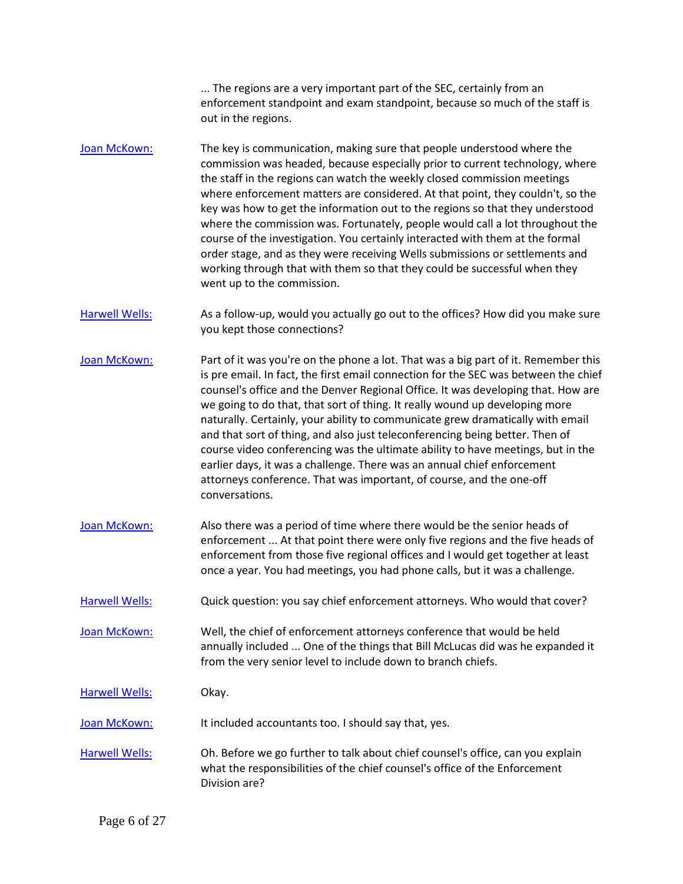... The regions are a very important part of the SEC, certainly from an enforcement standpoint and exam standpoint, because so much of the staff is out in the regions.

- [Joan McKown:](https://www.rev.com/transcript-editor/Edit?token=4zKvrdEHpM-4WQJlR8I7OErZJicXQBHXsTVGZ4OVDCkbduRqrHaQfQ-WZKUBA7dzOWxs8b2ZX9xas1p3JizUoQI0CdU&loadFrom=DocumentSpeakerNameDeeplink&ts=934.86) The key is communication, making sure that people understood where the commission was headed, because especially prior to current technology, where the staff in the regions can watch the weekly closed commission meetings where enforcement matters are considered. At that point, they couldn't, so the key was how to get the information out to the regions so that they understood where the commission was. Fortunately, people would call a lot throughout the course of the investigation. You certainly interacted with them at the formal order stage, and as they were receiving Wells submissions or settlements and working through that with them so that they could be successful when they went up to the commission.
- [Harwell Wells:](https://www.rev.com/transcript-editor/Edit?token=zq1h2ulaHt_e4Jahyv7OKv7yR8DWQpvbcRRolIwx3JIsVP7tLBzWs3GFTJ7rZWDLlLxtGECl0_IvTMIA2f55PcE--QE&loadFrom=DocumentSpeakerNameDeeplink&ts=981.03) As a follow-up, would you actually go out to the offices? How did you make sure you kept those connections?
- [Joan McKown:](https://www.rev.com/transcript-editor/Edit?token=PuNsXxheszC_B4_fyHwENT3YDyg9HafA8eE10vUKvQF5KpoSxoJXJEyVIMwFidC7xbWl4bG2Q2CkkB90Wib8_ivaXDg&loadFrom=DocumentSpeakerNameDeeplink&ts=989.26) Part of it was you're on the phone a lot. That was a big part of it. Remember this is pre email. In fact, the first email connection for the SEC was between the chief counsel's office and the Denver Regional Office. It was developing that. How are we going to do that, that sort of thing. It really wound up developing more naturally. Certainly, your ability to communicate grew dramatically with email and that sort of thing, and also just teleconferencing being better. Then of course video conferencing was the ultimate ability to have meetings, but in the earlier days, it was a challenge. There was an annual chief enforcement attorneys conference. That was important, of course, and the one-off conversations.
- [Joan McKown:](https://www.rev.com/transcript-editor/Edit?token=nuPBH2uJVIJAGglzXtGqSi79xSDrubHaNGcY4DwooGK8QB7WDSbGNvaYP5KE9_QBcp3uqMS5IkGwOcPUw_q-FBxyavQ&loadFrom=DocumentSpeakerNameDeeplink&ts=1043.29) Also there was a period of time where there would be the senior heads of enforcement ... At that point there were only five regions and the five heads of enforcement from those five regional offices and I would get together at least once a year. You had meetings, you had phone calls, but it was a challenge.
- [Harwell Wells:](https://www.rev.com/transcript-editor/Edit?token=L4Y_U8Iyh5wolSW-SEKRXwAGoXRDRW3n15zD6vyr1vdKzVxFobmPkexc3WZMaxh1AiyNLf7_oXRKZ0azbnQMjXpjoKI&loadFrom=DocumentSpeakerNameDeeplink&ts=1078.04) Quick question: you say chief enforcement attorneys. Who would that cover?

[Joan McKown:](https://www.rev.com/transcript-editor/Edit?token=B8UTDFVGZyWSmFkCdA-dvWVM_bBURbAGoTiHsvti-r5nU7ssXZFrkjKnmpgUsM1GOwz7KUTICNJOCtklTxllf7WG6-o&loadFrom=DocumentSpeakerNameDeeplink&ts=1082.07) Well, the chief of enforcement attorneys conference that would be held annually included ... One of the things that Bill McLucas did was he expanded it from the very senior level to include down to branch chiefs.

[Harwell Wells:](https://www.rev.com/transcript-editor/Edit?token=jABHBE2nAhQzMK07wGyIiWo3gjIXYbmbU3_w8uoaI2JqJg-XSZ4cLCSeONTRR3mfumL6owN0YaFNebRPVl3C5PHxapw&loadFrom=DocumentSpeakerNameDeeplink&ts=1097.38) Okay.

[Joan McKown:](https://www.rev.com/transcript-editor/Edit?token=1VaExTMcRuXdLRPPLxD7xnXFlcOQF1YrB6puJ0Z7l-KAxgG7NqNArlBTVcBson5eWJyfhSBC83Ud786vcwBcsefbQKs&loadFrom=DocumentSpeakerNameDeeplink&ts=1098.29) It included accountants too. I should say that, yes.

[Harwell Wells:](https://www.rev.com/transcript-editor/Edit?token=gXvF2ScsYbQSQdqPh4DUbfLjVqziHvqI6JDkqcRlY2eUnfZmzlE8iGE63_GmNazr3ujE9UhQIZXyR5mts7Gsfew2UmU&loadFrom=DocumentSpeakerNameDeeplink&ts=1103.17) Oh. Before we go further to talk about chief counsel's office, can you explain what the responsibilities of the chief counsel's office of the Enforcement Division are?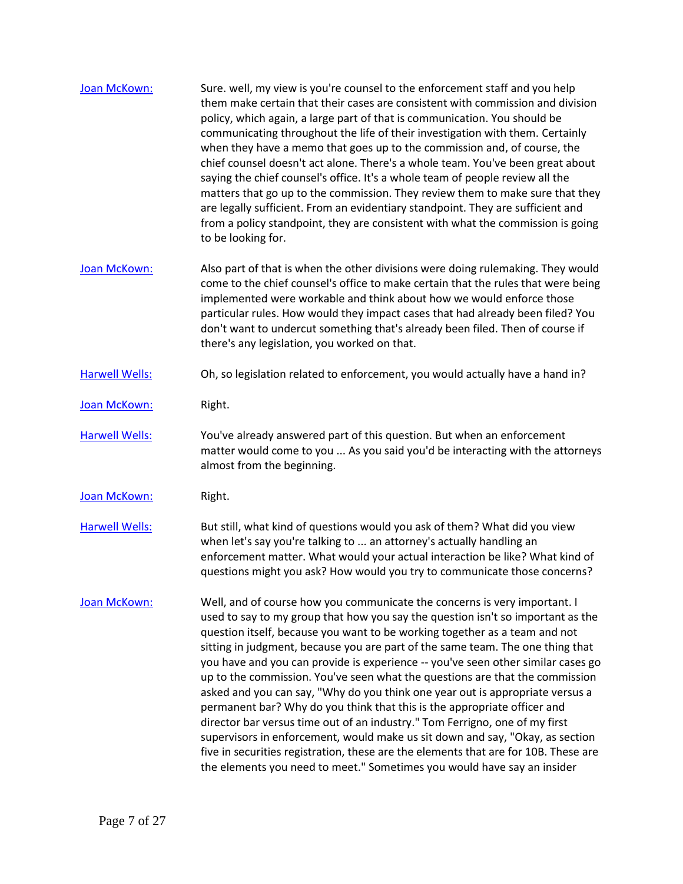| Joan McKown:          | Sure. well, my view is you're counsel to the enforcement staff and you help<br>them make certain that their cases are consistent with commission and division<br>policy, which again, a large part of that is communication. You should be<br>communicating throughout the life of their investigation with them. Certainly<br>when they have a memo that goes up to the commission and, of course, the<br>chief counsel doesn't act alone. There's a whole team. You've been great about<br>saying the chief counsel's office. It's a whole team of people review all the<br>matters that go up to the commission. They review them to make sure that they<br>are legally sufficient. From an evidentiary standpoint. They are sufficient and<br>from a policy standpoint, they are consistent with what the commission is going<br>to be looking for.                                                                                                                                         |
|-----------------------|-------------------------------------------------------------------------------------------------------------------------------------------------------------------------------------------------------------------------------------------------------------------------------------------------------------------------------------------------------------------------------------------------------------------------------------------------------------------------------------------------------------------------------------------------------------------------------------------------------------------------------------------------------------------------------------------------------------------------------------------------------------------------------------------------------------------------------------------------------------------------------------------------------------------------------------------------------------------------------------------------|
| Joan McKown:          | Also part of that is when the other divisions were doing rulemaking. They would<br>come to the chief counsel's office to make certain that the rules that were being<br>implemented were workable and think about how we would enforce those<br>particular rules. How would they impact cases that had already been filed? You<br>don't want to undercut something that's already been filed. Then of course if<br>there's any legislation, you worked on that.                                                                                                                                                                                                                                                                                                                                                                                                                                                                                                                                 |
| <b>Harwell Wells:</b> | Oh, so legislation related to enforcement, you would actually have a hand in?                                                                                                                                                                                                                                                                                                                                                                                                                                                                                                                                                                                                                                                                                                                                                                                                                                                                                                                   |
| Joan McKown:          | Right.                                                                                                                                                                                                                                                                                                                                                                                                                                                                                                                                                                                                                                                                                                                                                                                                                                                                                                                                                                                          |
| <b>Harwell Wells:</b> | You've already answered part of this question. But when an enforcement<br>matter would come to you  As you said you'd be interacting with the attorneys<br>almost from the beginning.                                                                                                                                                                                                                                                                                                                                                                                                                                                                                                                                                                                                                                                                                                                                                                                                           |
| Joan McKown:          | Right.                                                                                                                                                                                                                                                                                                                                                                                                                                                                                                                                                                                                                                                                                                                                                                                                                                                                                                                                                                                          |
| <b>Harwell Wells:</b> | But still, what kind of questions would you ask of them? What did you view<br>when let's say you're talking to  an attorney's actually handling an<br>enforcement matter. What would your actual interaction be like? What kind of<br>questions might you ask? How would you try to communicate those concerns?                                                                                                                                                                                                                                                                                                                                                                                                                                                                                                                                                                                                                                                                                 |
| Joan McKown:          | Well, and of course how you communicate the concerns is very important. I<br>used to say to my group that how you say the question isn't so important as the<br>question itself, because you want to be working together as a team and not<br>sitting in judgment, because you are part of the same team. The one thing that<br>you have and you can provide is experience -- you've seen other similar cases go<br>up to the commission. You've seen what the questions are that the commission<br>asked and you can say, "Why do you think one year out is appropriate versus a<br>permanent bar? Why do you think that this is the appropriate officer and<br>director bar versus time out of an industry." Tom Ferrigno, one of my first<br>supervisors in enforcement, would make us sit down and say, "Okay, as section<br>five in securities registration, these are the elements that are for 10B. These are<br>the elements you need to meet." Sometimes you would have say an insider |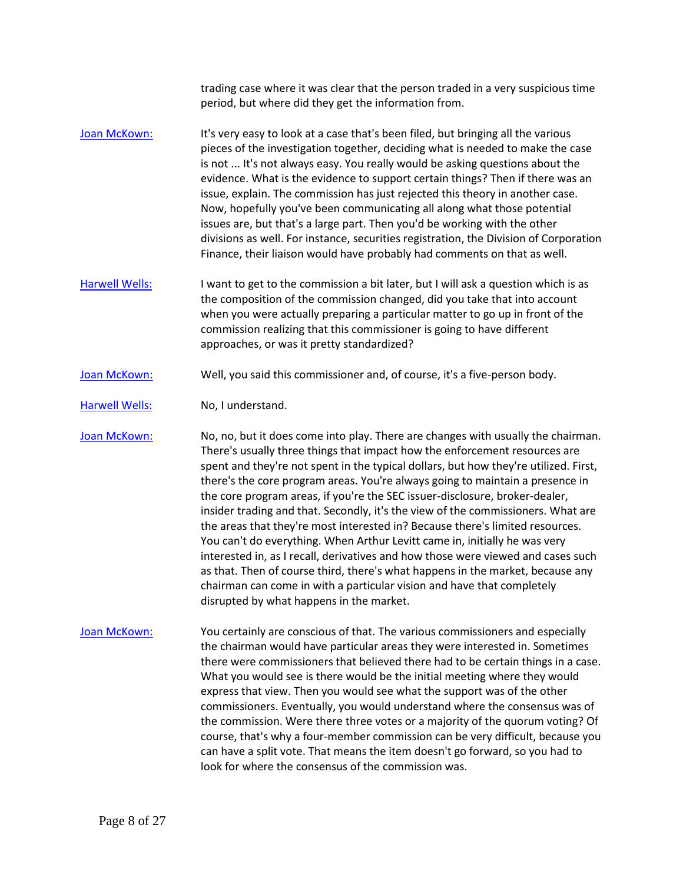trading case where it was clear that the person traded in a very suspicious time period, but where did they get the information from.

- [Joan McKown:](https://www.rev.com/transcript-editor/Edit?token=PLUPjDODEiwY9NRNmKynA4XJydyt9cSekzBLcJ4N6eed7DSqTxnM2qXqLOhTotqw4k9Ac1JGYUph3gS2GLeBhEQYdQE&loadFrom=DocumentSpeakerNameDeeplink&ts=1307.37) It's very easy to look at a case that's been filed, but bringing all the various pieces of the investigation together, deciding what is needed to make the case is not ... It's not always easy. You really would be asking questions about the evidence. What is the evidence to support certain things? Then if there was an issue, explain. The commission has just rejected this theory in another case. Now, hopefully you've been communicating all along what those potential issues are, but that's a large part. Then you'd be working with the other divisions as well. For instance, securities registration, the Division of Corporation Finance, their liaison would have probably had comments on that as well.
- [Harwell Wells:](https://www.rev.com/transcript-editor/Edit?token=nmbn6JAkK-QsM0AnhCxQD0YS_nrcMiugLigQ6tl2BA0Sc4HRVph2KpyGkde8-5houytKNucdp5Ofce03WvYZ9qptF0s&loadFrom=DocumentSpeakerNameDeeplink&ts=1360.12) I want to get to the commission a bit later, but I will ask a question which is as the composition of the commission changed, did you take that into account when you were actually preparing a particular matter to go up in front of the commission realizing that this commissioner is going to have different approaches, or was it pretty standardized?
- [Joan McKown:](https://www.rev.com/transcript-editor/Edit?token=8e8ZzVSO4gaaD-E-dmwwVVThg05cyDh8msTIrOco1VOdC8MIiwq2SVMqWI-9Esb5OCHvFEREgW9bJtJ-UDruadPlngY&loadFrom=DocumentSpeakerNameDeeplink&ts=1381.6) Well, you said this commissioner and, of course, it's a five-person body.
- [Harwell Wells:](https://www.rev.com/transcript-editor/Edit?token=qGotiz8JvFjF0wsS-XmSkLKBvpHDXoTWEy3GtVK6umJDL2JhLQ1Y4-bxahfaEjG0GkZhrb0_pUUVZMS1Y08jS3mItEg&loadFrom=DocumentSpeakerNameDeeplink&ts=1385.99) No, I understand.

[Joan McKown:](https://www.rev.com/transcript-editor/Edit?token=bNfKCF9HWZd9DvUt27_NVpLDPhsK9lizdab7KR4OHanoSJEoLJgeYCm3C5WlZ6wB9MZTIeCYXptyrgVzp8OScvS4MOk&loadFrom=DocumentSpeakerNameDeeplink&ts=1386.99) No, no, but it does come into play. There are changes with usually the chairman. There's usually three things that impact how the enforcement resources are spent and they're not spent in the typical dollars, but how they're utilized. First, there's the core program areas. You're always going to maintain a presence in the core program areas, if you're the SEC issuer-disclosure, broker-dealer, insider trading and that. Secondly, it's the view of the commissioners. What are the areas that they're most interested in? Because there's limited resources. You can't do everything. When Arthur Levitt came in, initially he was very interested in, as I recall, derivatives and how those were viewed and cases such as that. Then of course third, there's what happens in the market, because any chairman can come in with a particular vision and have that completely disrupted by what happens in the market.

[Joan McKown:](https://www.rev.com/transcript-editor/Edit?token=FaJrEsqlg7vgYNjPCQooIVq4Yarp_xqro5c-daAtqfyaaKbofQqyFIygIG3g0bAWdX4Xg1uU07K5FWlj8Snqr5eBrb8&loadFrom=DocumentSpeakerNameDeeplink&ts=1450.24) You certainly are conscious of that. The various commissioners and especially the chairman would have particular areas they were interested in. Sometimes there were commissioners that believed there had to be certain things in a case. What you would see is there would be the initial meeting where they would express that view. Then you would see what the support was of the other commissioners. Eventually, you would understand where the consensus was of the commission. Were there three votes or a majority of the quorum voting? Of course, that's why a four-member commission can be very difficult, because you can have a split vote. That means the item doesn't go forward, so you had to look for where the consensus of the commission was.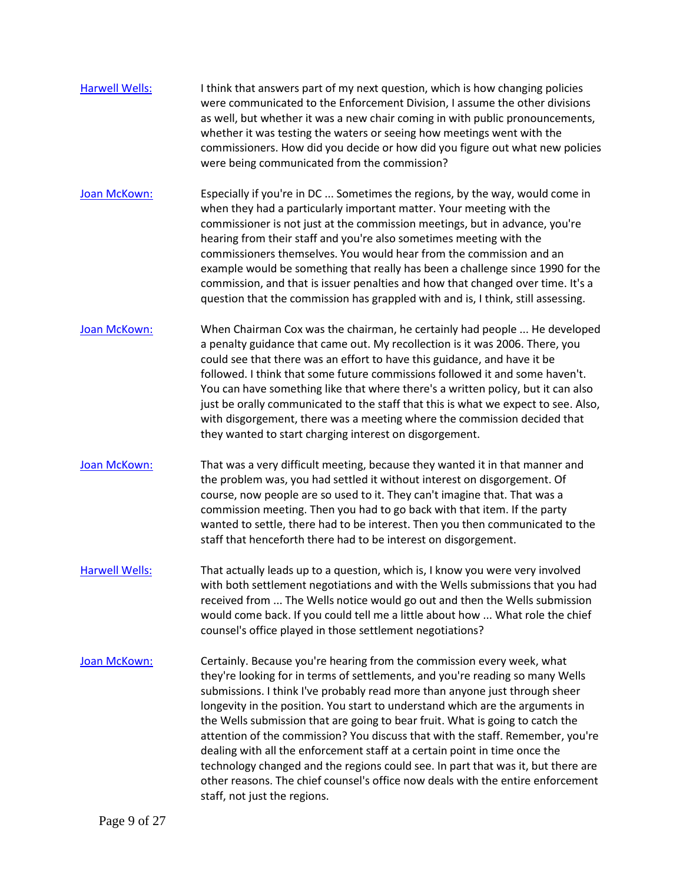- [Harwell Wells:](https://www.rev.com/transcript-editor/Edit?token=YIcUu-LIAaHQaHnCATRP_Pl-Cnkpl6UcEYaVREiRLcnNoNNZCd0nRxMMVpvkiVUrLlIXYyxIu09tbGH05DyZJZ6-Dds&loadFrom=DocumentSpeakerNameDeeplink&ts=1511.94) I think that answers part of my next question, which is how changing policies were communicated to the Enforcement Division, I assume the other divisions as well, but whether it was a new chair coming in with public pronouncements, whether it was testing the waters or seeing how meetings went with the commissioners. How did you decide or how did you figure out what new policies were being communicated from the commission?
- [Joan McKown:](https://www.rev.com/transcript-editor/Edit?token=J4oEyvn4NmMl8_0oguJvREDCJlceytqr0TJnpScNqe7xiJ9cFWHXLjh5scn2M0tIM7bNszhIvizf7SYwyp1Lw0YEB_A&loadFrom=DocumentSpeakerNameDeeplink&ts=1541.51) Especially if you're in DC ... Sometimes the regions, by the way, would come in when they had a particularly important matter. Your meeting with the commissioner is not just at the commission meetings, but in advance, you're hearing from their staff and you're also sometimes meeting with the commissioners themselves. You would hear from the commission and an example would be something that really has been a challenge since 1990 for the commission, and that is issuer penalties and how that changed over time. It's a question that the commission has grappled with and is, I think, still assessing.
- [Joan McKown:](https://www.rev.com/transcript-editor/Edit?token=ZstJxB8iA7YeAC3WMqXLw5QukZ5KRNbBvdCaWkUrjfP9IoWUmY__K0ir7JfA8jdbsp2Lbm-3iDo8ev2sK_L-9wSUH9A&loadFrom=DocumentSpeakerNameDeeplink&ts=1575.1) When Chairman Cox was the chairman, he certainly had people ... He developed a penalty guidance that came out. My recollection is it was 2006. There, you could see that there was an effort to have this guidance, and have it be followed. I think that some future commissions followed it and some haven't. You can have something like that where there's a written policy, but it can also just be orally communicated to the staff that this is what we expect to see. Also, with disgorgement, there was a meeting where the commission decided that they wanted to start charging interest on disgorgement.
- [Joan McKown:](https://www.rev.com/transcript-editor/Edit?token=KykFPnru1nsh9Ja3Szflsc2waiPzkm-89J0jk2WUqRvCiXBqSYPpzvtpvSrpuE6MgKuW6qpNhjDxSRVb8pIEoUhfO_E&loadFrom=DocumentSpeakerNameDeeplink&ts=1630.07) That was a very difficult meeting, because they wanted it in that manner and the problem was, you had settled it without interest on disgorgement. Of course, now people are so used to it. They can't imagine that. That was a commission meeting. Then you had to go back with that item. If the party wanted to settle, there had to be interest. Then you then communicated to the staff that henceforth there had to be interest on disgorgement.
- [Harwell Wells:](https://www.rev.com/transcript-editor/Edit?token=T5-WQCmElpEhs8-zxlDQWXvbnAoXgKUsEmikGWRwxihs7crkpQPRc1XjNOAUG8kSBNrNXVMDLt6cI4eipCmBUXr7AWw&loadFrom=DocumentSpeakerNameDeeplink&ts=1658.27) That actually leads up to a question, which is, I know you were very involved with both settlement negotiations and with the Wells submissions that you had received from ... The Wells notice would go out and then the Wells submission would come back. If you could tell me a little about how ... What role the chief counsel's office played in those settlement negotiations?
- [Joan McKown:](https://www.rev.com/transcript-editor/Edit?token=CVAqIt9WwFjrIXbBxBwT06K6ci63zVIwjMOzTvFYyfC5LwXdJaUhvr3xP__wP0C5trYEFMBQBf7Y_u-95R86G63IOy4&loadFrom=DocumentSpeakerNameDeeplink&ts=1680.64) Certainly. Because you're hearing from the commission every week, what they're looking for in terms of settlements, and you're reading so many Wells submissions. I think I've probably read more than anyone just through sheer longevity in the position. You start to understand which are the arguments in the Wells submission that are going to bear fruit. What is going to catch the attention of the commission? You discuss that with the staff. Remember, you're dealing with all the enforcement staff at a certain point in time once the technology changed and the regions could see. In part that was it, but there are other reasons. The chief counsel's office now deals with the entire enforcement staff, not just the regions.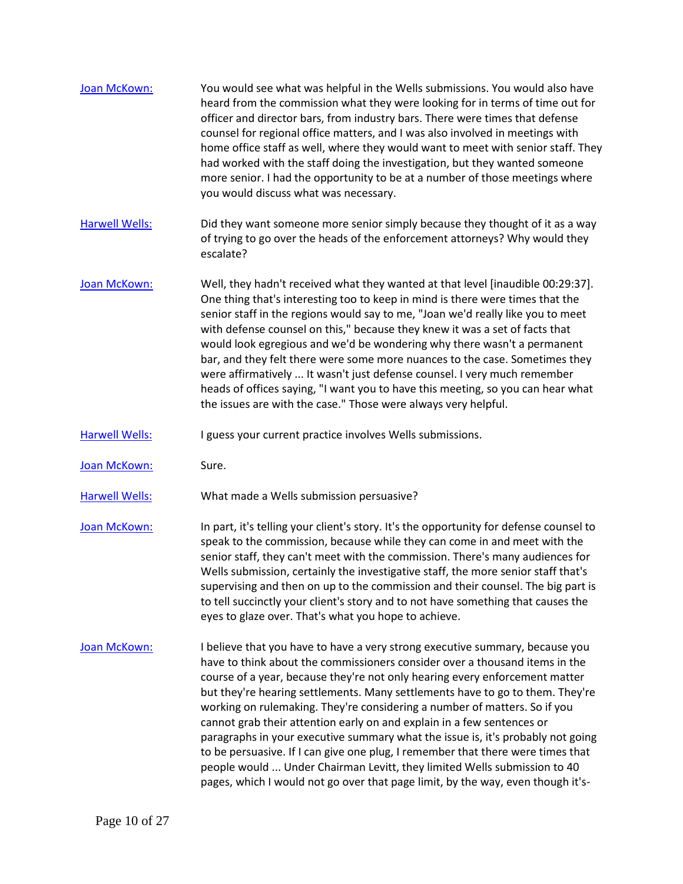| Joan McKown:          | You would see what was helpful in the Wells submissions. You would also have<br>heard from the commission what they were looking for in terms of time out for<br>officer and director bars, from industry bars. There were times that defense<br>counsel for regional office matters, and I was also involved in meetings with<br>home office staff as well, where they would want to meet with senior staff. They<br>had worked with the staff doing the investigation, but they wanted someone<br>more senior. I had the opportunity to be at a number of those meetings where<br>you would discuss what was necessary.                                                                                                                                                                                               |
|-----------------------|-------------------------------------------------------------------------------------------------------------------------------------------------------------------------------------------------------------------------------------------------------------------------------------------------------------------------------------------------------------------------------------------------------------------------------------------------------------------------------------------------------------------------------------------------------------------------------------------------------------------------------------------------------------------------------------------------------------------------------------------------------------------------------------------------------------------------|
| <b>Harwell Wells:</b> | Did they want someone more senior simply because they thought of it as a way<br>of trying to go over the heads of the enforcement attorneys? Why would they<br>escalate?                                                                                                                                                                                                                                                                                                                                                                                                                                                                                                                                                                                                                                                |
| Joan McKown:          | Well, they hadn't received what they wanted at that level [inaudible 00:29:37].<br>One thing that's interesting too to keep in mind is there were times that the<br>senior staff in the regions would say to me, "Joan we'd really like you to meet<br>with defense counsel on this," because they knew it was a set of facts that<br>would look egregious and we'd be wondering why there wasn't a permanent<br>bar, and they felt there were some more nuances to the case. Sometimes they<br>were affirmatively  It wasn't just defense counsel. I very much remember<br>heads of offices saying, "I want you to have this meeting, so you can hear what<br>the issues are with the case." Those were always very helpful.                                                                                           |
| <b>Harwell Wells:</b> | I guess your current practice involves Wells submissions.                                                                                                                                                                                                                                                                                                                                                                                                                                                                                                                                                                                                                                                                                                                                                               |
| Joan McKown:          | Sure.                                                                                                                                                                                                                                                                                                                                                                                                                                                                                                                                                                                                                                                                                                                                                                                                                   |
| <b>Harwell Wells:</b> | What made a Wells submission persuasive?                                                                                                                                                                                                                                                                                                                                                                                                                                                                                                                                                                                                                                                                                                                                                                                |
| Joan McKown:          | In part, it's telling your client's story. It's the opportunity for defense counsel to<br>speak to the commission, because while they can come in and meet with the<br>senior staff, they can't meet with the commission. There's many audiences for<br>Wells submission, certainly the investigative staff, the more senior staff that's<br>supervising and then on up to the commission and their counsel. The big part is<br>to tell succinctly your client's story and to not have something that causes the<br>eyes to glaze over. That's what you hope to achieve.                                                                                                                                                                                                                                                |
| Joan McKown:          | I believe that you have to have a very strong executive summary, because you<br>have to think about the commissioners consider over a thousand items in the<br>course of a year, because they're not only hearing every enforcement matter<br>but they're hearing settlements. Many settlements have to go to them. They're<br>working on rulemaking. They're considering a number of matters. So if you<br>cannot grab their attention early on and explain in a few sentences or<br>paragraphs in your executive summary what the issue is, it's probably not going<br>to be persuasive. If I can give one plug, I remember that there were times that<br>people would  Under Chairman Levitt, they limited Wells submission to 40<br>pages, which I would not go over that page limit, by the way, even though it's- |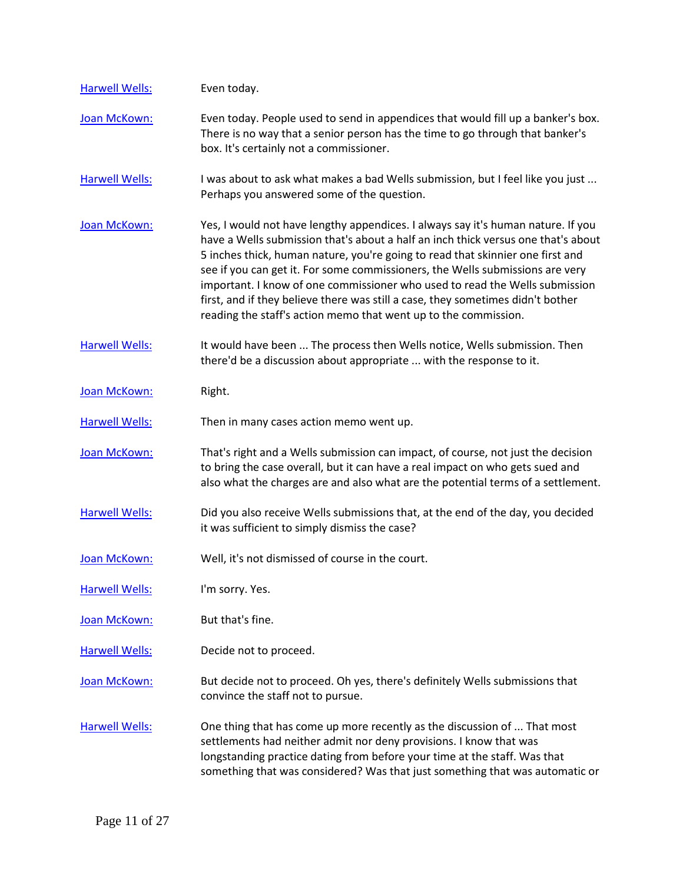| <b>Harwell Wells:</b> | Even today.                                                                                                                                                                                                                                                                                                                                                                                                                                                                                                                                                                   |
|-----------------------|-------------------------------------------------------------------------------------------------------------------------------------------------------------------------------------------------------------------------------------------------------------------------------------------------------------------------------------------------------------------------------------------------------------------------------------------------------------------------------------------------------------------------------------------------------------------------------|
| Joan McKown:          | Even today. People used to send in appendices that would fill up a banker's box.<br>There is no way that a senior person has the time to go through that banker's<br>box. It's certainly not a commissioner.                                                                                                                                                                                                                                                                                                                                                                  |
| <b>Harwell Wells:</b> | I was about to ask what makes a bad Wells submission, but I feel like you just<br>Perhaps you answered some of the question.                                                                                                                                                                                                                                                                                                                                                                                                                                                  |
| Joan McKown:          | Yes, I would not have lengthy appendices. I always say it's human nature. If you<br>have a Wells submission that's about a half an inch thick versus one that's about<br>5 inches thick, human nature, you're going to read that skinnier one first and<br>see if you can get it. For some commissioners, the Wells submissions are very<br>important. I know of one commissioner who used to read the Wells submission<br>first, and if they believe there was still a case, they sometimes didn't bother<br>reading the staff's action memo that went up to the commission. |
| <b>Harwell Wells:</b> | It would have been  The process then Wells notice, Wells submission. Then<br>there'd be a discussion about appropriate  with the response to it.                                                                                                                                                                                                                                                                                                                                                                                                                              |
| Joan McKown:          | Right.                                                                                                                                                                                                                                                                                                                                                                                                                                                                                                                                                                        |
| <b>Harwell Wells:</b> | Then in many cases action memo went up.                                                                                                                                                                                                                                                                                                                                                                                                                                                                                                                                       |
| Joan McKown:          | That's right and a Wells submission can impact, of course, not just the decision<br>to bring the case overall, but it can have a real impact on who gets sued and<br>also what the charges are and also what are the potential terms of a settlement.                                                                                                                                                                                                                                                                                                                         |
| <b>Harwell Wells:</b> | Did you also receive Wells submissions that, at the end of the day, you decided<br>it was sufficient to simply dismiss the case?                                                                                                                                                                                                                                                                                                                                                                                                                                              |
| Joan McKown:          | Well, it's not dismissed of course in the court.                                                                                                                                                                                                                                                                                                                                                                                                                                                                                                                              |
| <b>Harwell Wells:</b> | I'm sorry. Yes.                                                                                                                                                                                                                                                                                                                                                                                                                                                                                                                                                               |
| Joan McKown:          | But that's fine.                                                                                                                                                                                                                                                                                                                                                                                                                                                                                                                                                              |
| <b>Harwell Wells:</b> | Decide not to proceed.                                                                                                                                                                                                                                                                                                                                                                                                                                                                                                                                                        |
| Joan McKown:          | But decide not to proceed. Oh yes, there's definitely Wells submissions that<br>convince the staff not to pursue.                                                                                                                                                                                                                                                                                                                                                                                                                                                             |
| <b>Harwell Wells:</b> | One thing that has come up more recently as the discussion of  That most<br>settlements had neither admit nor deny provisions. I know that was<br>longstanding practice dating from before your time at the staff. Was that<br>something that was considered? Was that just something that was automatic or                                                                                                                                                                                                                                                                   |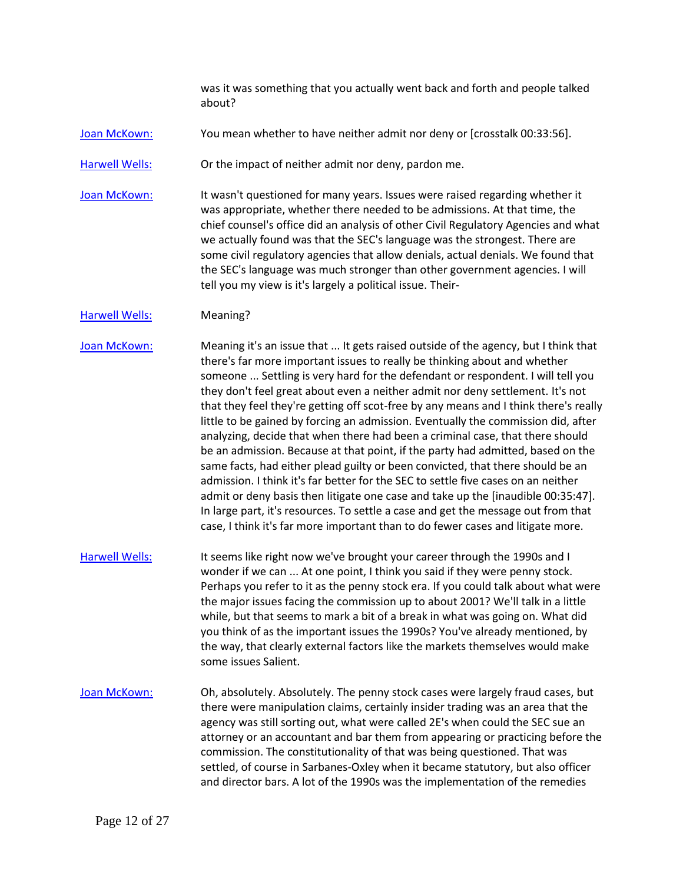was it was something that you actually went back and forth and people talked about?

[Joan McKown:](https://www.rev.com/transcript-editor/Edit?token=W2aP_7sJb4X_eXeM5kVs_io5VBhIjApJ-sgqM5rPCnL7sEsTdn_8wtebYVQBXkIxv_rvJfLn1tMvXoElHC0AF7gHtVc&loadFrom=DocumentSpeakerNameDeeplink&ts=2033.74) You mean whether to have neither admit nor deny or [crosstalk 00:33:56].

[Harwell Wells:](https://www.rev.com/transcript-editor/Edit?token=T8rf6XUa2z1D-Rr21ArtbDYXewZ7AHCO1blBNaDcqqhym4KEweN3b3S2oQrGhX1mMFJ2f_zgX4AUUj4R4wzAgyenKBU&loadFrom=DocumentSpeakerNameDeeplink&ts=2038.52) Or the impact of neither admit nor deny, pardon me.

[Joan McKown:](https://www.rev.com/transcript-editor/Edit?token=LtHWjDMlIfXWkv8oWHs7lY2Pt2RYUJVXrK7m-oB_q6gsRKTjnwW-FtOlDvvUJcvZvtBjGHxAyQNW5V1P_kvh1sYeAfk&loadFrom=DocumentSpeakerNameDeeplink&ts=2041.9) It wasn't questioned for many years. Issues were raised regarding whether it was appropriate, whether there needed to be admissions. At that time, the chief counsel's office did an analysis of other Civil Regulatory Agencies and what we actually found was that the SEC's language was the strongest. There are some civil regulatory agencies that allow denials, actual denials. We found that the SEC's language was much stronger than other government agencies. I will tell you my view is it's largely a political issue. Their-

## [Harwell Wells:](https://www.rev.com/transcript-editor/Edit?token=NLym6rcUxZUbdxegArlK2LYOxbbRWj1W__bBOc6tcAuP75702Xq4CqnqM48FVADNKHfScu20eD92fkxRGmPDJICYQ8c&loadFrom=DocumentSpeakerNameDeeplink&ts=2083.57) Meaning?

[Joan McKown:](https://www.rev.com/transcript-editor/Edit?token=os3fsbs8BTxcvnbE71z1XPdIRzRYkU01K8I6JSCCaFS_8x3TnV_rMiOl5DRICAwI9O7PDAtPqCPTWC6oPoGaVUwzxqM&loadFrom=DocumentSpeakerNameDeeplink&ts=2084.44) Meaning it's an issue that ... It gets raised outside of the agency, but I think that there's far more important issues to really be thinking about and whether someone ... Settling is very hard for the defendant or respondent. I will tell you they don't feel great about even a neither admit nor deny settlement. It's not that they feel they're getting off scot-free by any means and I think there's really little to be gained by forcing an admission. Eventually the commission did, after analyzing, decide that when there had been a criminal case, that there should be an admission. Because at that point, if the party had admitted, based on the same facts, had either plead guilty or been convicted, that there should be an admission. I think it's far better for the SEC to settle five cases on an neither admit or deny basis then litigate one case and take up the [inaudible 00:35:47]. In large part, it's resources. To settle a case and get the message out from that case, I think it's far more important than to do fewer cases and litigate more.

- [Harwell Wells:](https://www.rev.com/transcript-editor/Edit?token=maoUUmnsal67IDI6x68EVZd7v4isoKey5IB9xmVnLs3NnAQam-Zf3JCCIAntPWJt_oQ2Z9c5mW3sYGYsy4z0L8UL6Zs&loadFrom=DocumentSpeakerNameDeeplink&ts=2157.81) It seems like right now we've brought your career through the 1990s and I wonder if we can ... At one point, I think you said if they were penny stock. Perhaps you refer to it as the penny stock era. If you could talk about what were the major issues facing the commission up to about 2001? We'll talk in a little while, but that seems to mark a bit of a break in what was going on. What did you think of as the important issues the 1990s? You've already mentioned, by the way, that clearly external factors like the markets themselves would make some issues Salient.
- [Joan McKown:](https://www.rev.com/transcript-editor/Edit?token=BBgPdQqIPI4zX1xIbgtm8RpkxEdSs1sGUedJOgdvQRW65AO2rjTysRa3zodLCE9jl4pkWjL1kZSqMbgk0dpiikXaiJE&loadFrom=DocumentSpeakerNameDeeplink&ts=2193.69) Oh, absolutely. Absolutely. The penny stock cases were largely fraud cases, but there were manipulation claims, certainly insider trading was an area that the agency was still sorting out, what were called 2E's when could the SEC sue an attorney or an accountant and bar them from appearing or practicing before the commission. The constitutionality of that was being questioned. That was settled, of course in Sarbanes-Oxley when it became statutory, but also officer and director bars. A lot of the 1990s was the implementation of the remedies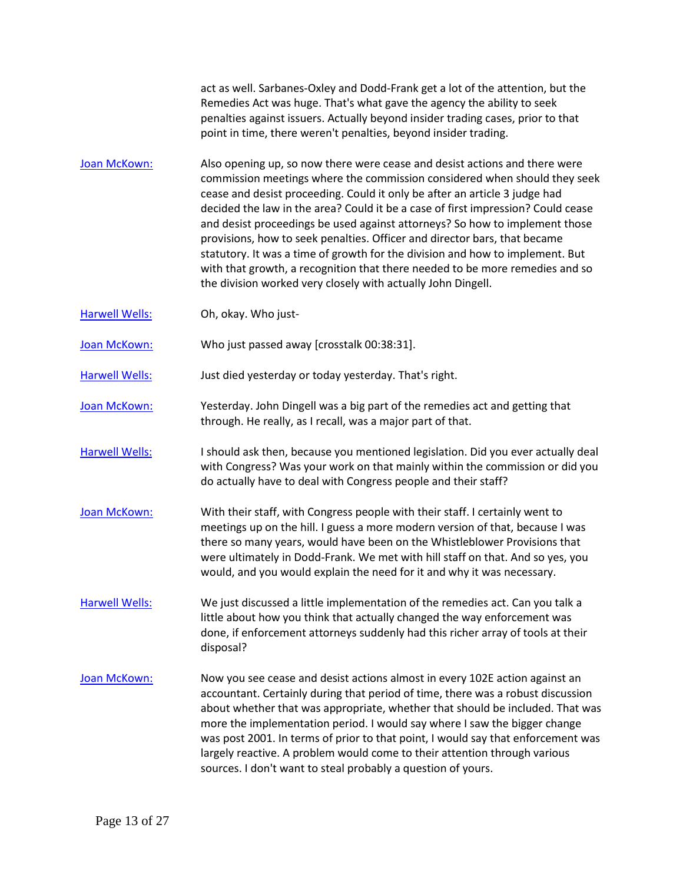act as well. Sarbanes-Oxley and Dodd-Frank get a lot of the attention, but the Remedies Act was huge. That's what gave the agency the ability to seek penalties against issuers. Actually beyond insider trading cases, prior to that point in time, there weren't penalties, beyond insider trading.

- [Joan McKown:](https://www.rev.com/transcript-editor/Edit?token=UC0iOJ2cl7aQ_E86W55UrGYVBbL5o6sqjOYnxotJMjc_TQ6WhSekW_TZiVy3uF6fWqyjpjFZB1QlW7PDJ3FTvo9zquw&loadFrom=DocumentSpeakerNameDeeplink&ts=2259.39) Also opening up, so now there were cease and desist actions and there were commission meetings where the commission considered when should they seek cease and desist proceeding. Could it only be after an article 3 judge had decided the law in the area? Could it be a case of first impression? Could cease and desist proceedings be used against attorneys? So how to implement those provisions, how to seek penalties. Officer and director bars, that became statutory. It was a time of growth for the division and how to implement. But with that growth, a recognition that there needed to be more remedies and so the division worked very closely with actually John Dingell.
- [Harwell Wells:](https://www.rev.com/transcript-editor/Edit?token=OqQwyvgLka493V6y5OF51Dx3vV-naw3MO1ksECUvF58CUS4Lf3gGvrKOvBzbLIkWmRqlROT8D7_5tu9TiBDSTbueRjA&loadFrom=DocumentSpeakerNameDeeplink&ts=2310.42) Oh, okay. Who just-
- [Joan McKown:](https://www.rev.com/transcript-editor/Edit?token=kB-sVcAd4Idn8_SQ8lWguf1cMw7KA3-ceU1MUhs0_QXzzgRTvo6X6SWCUQ2y6NvK-fI5tSwpjs-P9YRKFFVF0b-9Ddw&loadFrom=DocumentSpeakerNameDeeplink&ts=2310.47) Who just passed away [crosstalk 00:38:31].

[Harwell Wells:](https://www.rev.com/transcript-editor/Edit?token=1MyS07ajOJe0PbQ9xIwJh1uVuevsz8JMH8iXKstKbt9QTanf2jRFG0_-UvxV60rera5vkOhyETBJmCV1sKEw5xokLM4&loadFrom=DocumentSpeakerNameDeeplink&ts=2311.17) Just died yesterday or today yesterday. That's right.

- [Joan McKown:](https://www.rev.com/transcript-editor/Edit?token=NpyhWcFJM658G1HPcLjfdocX2h9uF6jp-fppq8Ln61Zmbu7bWrDlFgpWd3pSh4DTnk2D8vb9xY5slN5B56XAJQZJT7Y&loadFrom=DocumentSpeakerNameDeeplink&ts=2313.92) Yesterday. John Dingell was a big part of the remedies act and getting that through. He really, as I recall, was a major part of that.
- [Harwell Wells:](https://www.rev.com/transcript-editor/Edit?token=LAeGV_DeGeAEQqFDx3sLjppdxmfHcwWqn2H7C3PmhTmHV5Wv39ll5SpMUnjdj9kxADhsukApr5Hj72a61qPVncy-7cM&loadFrom=DocumentSpeakerNameDeeplink&ts=2323.27) I should ask then, because you mentioned legislation. Did you ever actually deal with Congress? Was your work on that mainly within the commission or did you do actually have to deal with Congress people and their staff?
- [Joan McKown:](https://www.rev.com/transcript-editor/Edit?token=9gnQgbfNMWKp22jq7OUNW_Wr5mgyWxMeilf6NFz5uLnfzv2b1Ab-DU084PwRjmZHOu5P2x4TuqPRSgmPtCr98srQ1cs&loadFrom=DocumentSpeakerNameDeeplink&ts=2334.27) With their staff, with Congress people with their staff. I certainly went to meetings up on the hill. I guess a more modern version of that, because I was there so many years, would have been on the Whistleblower Provisions that were ultimately in Dodd-Frank. We met with hill staff on that. And so yes, you would, and you would explain the need for it and why it was necessary.
- [Harwell Wells:](https://www.rev.com/transcript-editor/Edit?token=O2nC89-WFIep5AbYE6S-kVMVjlPWk8sEbKQ-Dzwn5-mJmoYrhlhyUjRNVOkOBTZtEtjnNHOgaBpjdOtP1XF0ea41Eas&loadFrom=DocumentSpeakerNameDeeplink&ts=2363.86) We just discussed a little implementation of the remedies act. Can you talk a little about how you think that actually changed the way enforcement was done, if enforcement attorneys suddenly had this richer array of tools at their disposal?
- [Joan McKown:](https://www.rev.com/transcript-editor/Edit?token=mmO2LkRxsCzyzTc-wBEA_j17e8vRp_-Gd0h7QJz79x5LDU2CK_aBUoV9Bq5dLnq66gpqDcY27Uy9mfjVEWomMiQOSMs&loadFrom=DocumentSpeakerNameDeeplink&ts=2379.74) Now you see cease and desist actions almost in every 102E action against an accountant. Certainly during that period of time, there was a robust discussion about whether that was appropriate, whether that should be included. That was more the implementation period. I would say where I saw the bigger change was post 2001. In terms of prior to that point, I would say that enforcement was largely reactive. A problem would come to their attention through various sources. I don't want to steal probably a question of yours.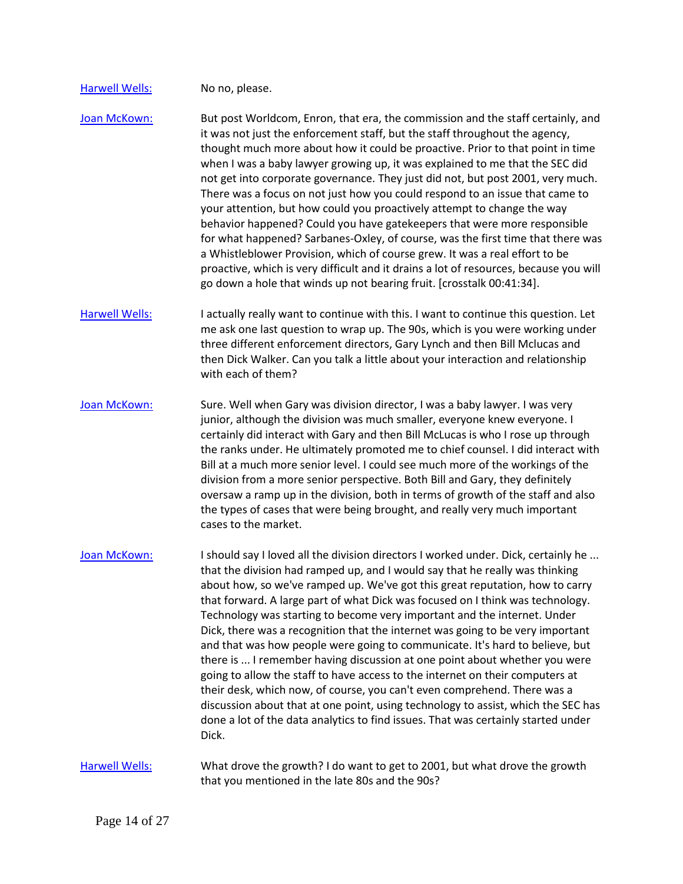## [Harwell Wells:](https://www.rev.com/transcript-editor/Edit?token=UidgdsVSUV2GrR-6poZGZ54_NYeuecEJWeZgTxn-9UbCfUYhIUEdLoWXM7asTKGSmAtI1vzXAqMzcMrOOcvmlVXyFnU&loadFrom=DocumentSpeakerNameDeeplink&ts=2425.18) No no, please.

[Joan McKown:](https://www.rev.com/transcript-editor/Edit?token=mkST5C-0fkbgcZZ_6PtYqWOdweOXQ3TC1E68YrSWZZ-p0uphE5yAVVO6C3Y_7y0JMdOftPyIVkZuY7GMeQrch_UrhQo&loadFrom=DocumentSpeakerNameDeeplink&ts=2426.17) But post Worldcom, Enron, that era, the commission and the staff certainly, and it was not just the enforcement staff, but the staff throughout the agency, thought much more about how it could be proactive. Prior to that point in time when I was a baby lawyer growing up, it was explained to me that the SEC did not get into corporate governance. They just did not, but post 2001, very much. There was a focus on not just how you could respond to an issue that came to your attention, but how could you proactively attempt to change the way behavior happened? Could you have gatekeepers that were more responsible for what happened? Sarbanes-Oxley, of course, was the first time that there was a Whistleblower Provision, which of course grew. It was a real effort to be proactive, which is very difficult and it drains a lot of resources, because you will go down a hole that winds up not bearing fruit. [crosstalk 00:41:34].

[Harwell Wells:](https://www.rev.com/transcript-editor/Edit?token=jMhNN6Hu2tWRo-F8QfwE8PPMgEuD0T2utmTG9FZk-Z50agWUQcZMoqMMryVA0WC4M5wGaEApFnBR7bDF2wDuTmb0TfQ&loadFrom=DocumentSpeakerNameDeeplink&ts=2493.53) I actually really want to continue with this. I want to continue this question. Let me ask one last question to wrap up. The 90s, which is you were working under three different enforcement directors, Gary Lynch and then Bill Mclucas and then Dick Walker. Can you talk a little about your interaction and relationship with each of them?

[Joan McKown:](https://www.rev.com/transcript-editor/Edit?token=kQHaVomOVEuR2edhjiCpHo_w2DUGxZx_XRXxe3qTxX5IbjCY7bQcXnqd0GrlWT0iKY2Jt59z6c65Lu7LsjAY1iKrz5Y&loadFrom=DocumentSpeakerNameDeeplink&ts=2511.59) Sure. Well when Gary was division director, I was a baby lawyer. I was very junior, although the division was much smaller, everyone knew everyone. I certainly did interact with Gary and then Bill McLucas is who I rose up through the ranks under. He ultimately promoted me to chief counsel. I did interact with Bill at a much more senior level. I could see much more of the workings of the division from a more senior perspective. Both Bill and Gary, they definitely oversaw a ramp up in the division, both in terms of growth of the staff and also the types of cases that were being brought, and really very much important cases to the market.

[Joan McKown:](https://www.rev.com/transcript-editor/Edit?token=Ac5Y3HVt-o6jDJ6RKO1qPbyyNdtXRPINDqjYNddPaLeXP5adNfa972oZD_wiMO9B0ju9_oF_i3aPyDutZGYGNM-dKEA&loadFrom=DocumentSpeakerNameDeeplink&ts=2559.25) I should say I loved all the division directors I worked under. Dick, certainly he ... that the division had ramped up, and I would say that he really was thinking about how, so we've ramped up. We've got this great reputation, how to carry that forward. A large part of what Dick was focused on I think was technology. Technology was starting to become very important and the internet. Under Dick, there was a recognition that the internet was going to be very important and that was how people were going to communicate. It's hard to believe, but there is ... I remember having discussion at one point about whether you were going to allow the staff to have access to the internet on their computers at their desk, which now, of course, you can't even comprehend. There was a discussion about that at one point, using technology to assist, which the SEC has done a lot of the data analytics to find issues. That was certainly started under Dick.

[Harwell Wells:](https://www.rev.com/transcript-editor/Edit?token=vYNqg4UWkSvTNiLXC1oMp-Dae8SxL6Wd7jMcqHC0AMXEPKdyLi5u4zUxEOUfeVkHdj0AwdDtimhuk5UQUEvylP6SAes&loadFrom=DocumentSpeakerNameDeeplink&ts=2626.72) What drove the growth? I do want to get to 2001, but what drove the growth that you mentioned in the late 80s and the 90s?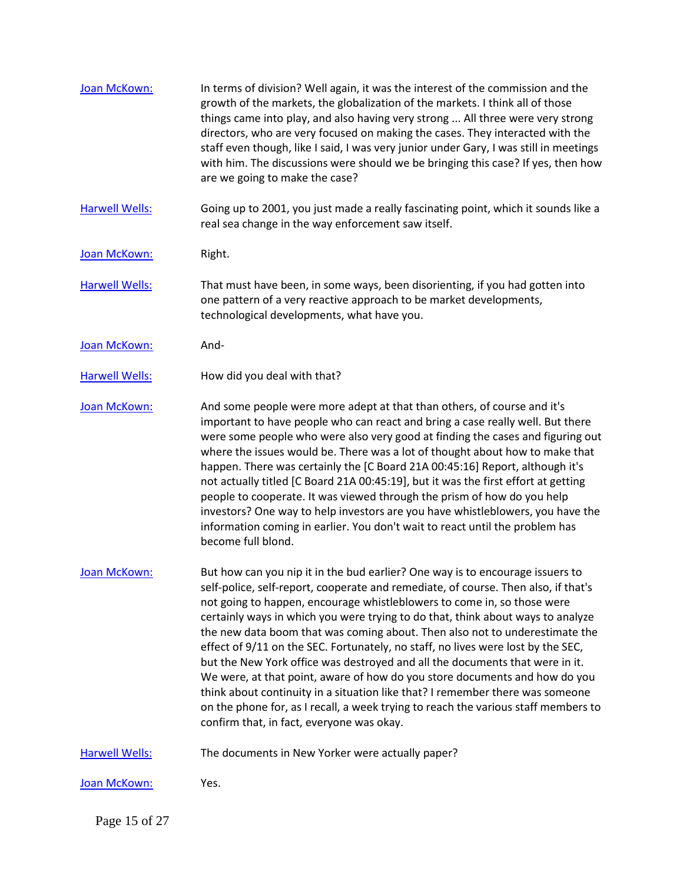| Joan McKown:          | In terms of division? Well again, it was the interest of the commission and the<br>growth of the markets, the globalization of the markets. I think all of those<br>things came into play, and also having very strong  All three were very strong<br>directors, who are very focused on making the cases. They interacted with the<br>staff even though, like I said, I was very junior under Gary, I was still in meetings<br>with him. The discussions were should we be bringing this case? If yes, then how<br>are we going to make the case?                                                                                                                                                                                                                                                                                                                                     |
|-----------------------|----------------------------------------------------------------------------------------------------------------------------------------------------------------------------------------------------------------------------------------------------------------------------------------------------------------------------------------------------------------------------------------------------------------------------------------------------------------------------------------------------------------------------------------------------------------------------------------------------------------------------------------------------------------------------------------------------------------------------------------------------------------------------------------------------------------------------------------------------------------------------------------|
| <b>Harwell Wells:</b> | Going up to 2001, you just made a really fascinating point, which it sounds like a<br>real sea change in the way enforcement saw itself.                                                                                                                                                                                                                                                                                                                                                                                                                                                                                                                                                                                                                                                                                                                                               |
| Joan McKown:          | Right.                                                                                                                                                                                                                                                                                                                                                                                                                                                                                                                                                                                                                                                                                                                                                                                                                                                                                 |
| <b>Harwell Wells:</b> | That must have been, in some ways, been disorienting, if you had gotten into<br>one pattern of a very reactive approach to be market developments,<br>technological developments, what have you.                                                                                                                                                                                                                                                                                                                                                                                                                                                                                                                                                                                                                                                                                       |
| Joan McKown:          | And-                                                                                                                                                                                                                                                                                                                                                                                                                                                                                                                                                                                                                                                                                                                                                                                                                                                                                   |
| <b>Harwell Wells:</b> | How did you deal with that?                                                                                                                                                                                                                                                                                                                                                                                                                                                                                                                                                                                                                                                                                                                                                                                                                                                            |
| Joan McKown:          | And some people were more adept at that than others, of course and it's<br>important to have people who can react and bring a case really well. But there<br>were some people who were also very good at finding the cases and figuring out<br>where the issues would be. There was a lot of thought about how to make that<br>happen. There was certainly the [C Board 21A 00:45:16] Report, although it's<br>not actually titled [C Board 21A 00:45:19], but it was the first effort at getting<br>people to cooperate. It was viewed through the prism of how do you help<br>investors? One way to help investors are you have whistleblowers, you have the<br>information coming in earlier. You don't wait to react until the problem has<br>become full blond.                                                                                                                   |
| Joan McKown:          | But how can you nip it in the bud earlier? One way is to encourage issuers to<br>self-police, self-report, cooperate and remediate, of course. Then also, if that's<br>not going to happen, encourage whistleblowers to come in, so those were<br>certainly ways in which you were trying to do that, think about ways to analyze<br>the new data boom that was coming about. Then also not to underestimate the<br>effect of 9/11 on the SEC. Fortunately, no staff, no lives were lost by the SEC,<br>but the New York office was destroyed and all the documents that were in it.<br>We were, at that point, aware of how do you store documents and how do you<br>think about continuity in a situation like that? I remember there was someone<br>on the phone for, as I recall, a week trying to reach the various staff members to<br>confirm that, in fact, everyone was okay. |
| <b>Harwell Wells:</b> | The documents in New Yorker were actually paper?                                                                                                                                                                                                                                                                                                                                                                                                                                                                                                                                                                                                                                                                                                                                                                                                                                       |
| Joan McKown:          | Yes.                                                                                                                                                                                                                                                                                                                                                                                                                                                                                                                                                                                                                                                                                                                                                                                                                                                                                   |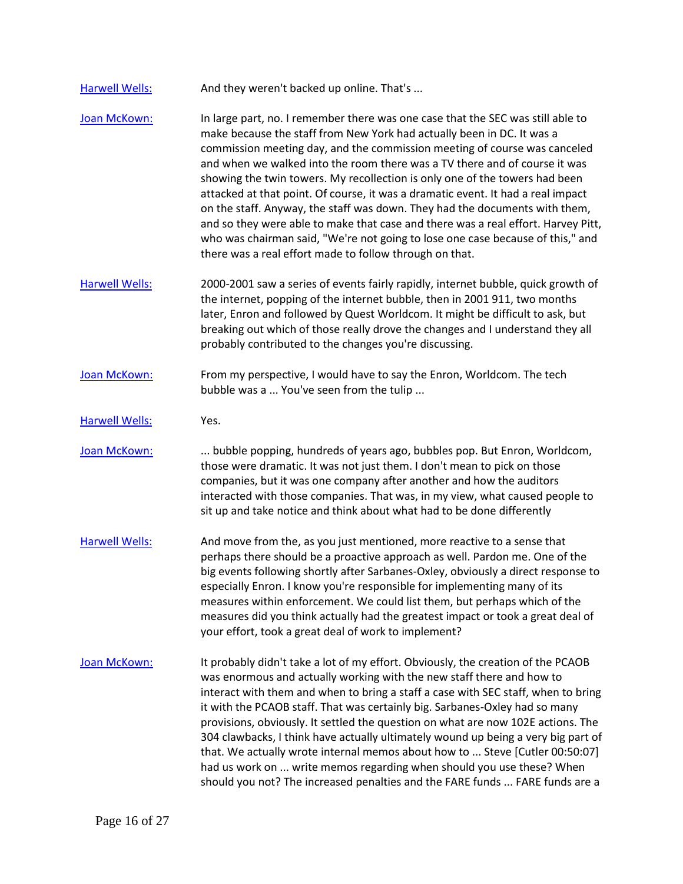| <b>Harwell Wells:</b> | And they weren't backed up online. That's |
|-----------------------|-------------------------------------------|
|-----------------------|-------------------------------------------|

- [Joan McKown:](https://www.rev.com/transcript-editor/Edit?token=Rfy28M_aRzOchHz4z4tWpK7zq8SD_2CzgTQxtPvqoU4EyL5mnk84xHWOW7uJ1VuvJSmF1hLAiEza2pNqUEpppVLFSOQ&loadFrom=DocumentSpeakerNameDeeplink&ts=2808.68) In large part, no. I remember there was one case that the SEC was still able to make because the staff from New York had actually been in DC. It was a commission meeting day, and the commission meeting of course was canceled and when we walked into the room there was a TV there and of course it was showing the twin towers. My recollection is only one of the towers had been attacked at that point. Of course, it was a dramatic event. It had a real impact on the staff. Anyway, the staff was down. They had the documents with them, and so they were able to make that case and there was a real effort. Harvey Pitt, who was chairman said, "We're not going to lose one case because of this," and there was a real effort made to follow through on that.
- [Harwell Wells:](https://www.rev.com/transcript-editor/Edit?token=IIXlFDl3_Pz8XnBXyWjBhCSphTRVXJcO-LaUhsr8ndFcIGzz4wFrHTI7_UouXx0V7LU2S8qn5dWl_6yNCoPXTdP-S90&loadFrom=DocumentSpeakerNameDeeplink&ts=2861.22) 2000-2001 saw a series of events fairly rapidly, internet bubble, quick growth of the internet, popping of the internet bubble, then in 2001 911, two months later, Enron and followed by Quest Worldcom. It might be difficult to ask, but breaking out which of those really drove the changes and I understand they all probably contributed to the changes you're discussing.
- [Joan McKown:](https://www.rev.com/transcript-editor/Edit?token=-r8xWlxKGTG4DwuR_-PuFpTTUI4WuKoEGLn5Xnr3IXRr-wgby4nlJ0xZSKF59Wt7GEJ5UibVSxfwROGakd3ONqcOo_Y&loadFrom=DocumentSpeakerNameDeeplink&ts=2891.46) From my perspective, I would have to say the Enron, Worldcom. The tech bubble was a ... You've seen from the tulip ...

[Harwell Wells:](https://www.rev.com/transcript-editor/Edit?token=yH5jaNFRA10IhYzr8sZL1gXtQ2b42n4SeJ4pp-M-4NCkCD46cDJZ8ZVRoVwXjSeBRCHhND-ZJEyD4SMxcDs71cpg6Xw&loadFrom=DocumentSpeakerNameDeeplink&ts=2902.85) Yes.

Joan [McKown:](https://www.rev.com/transcript-editor/Edit?token=5OAwordc-lzJLSvCsVgMNcxm4Eqtz6Q6bAd3XLP7dOc7tjvcZuA93cBrjNL-nPnyKqF15drq89R_ZJ9t2KFfiyhcMi8&loadFrom=DocumentSpeakerNameDeeplink&ts=2903.21) ... bubble popping, hundreds of years ago, bubbles pop. But Enron, Worldcom, those were dramatic. It was not just them. I don't mean to pick on those companies, but it was one company after another and how the auditors interacted with those companies. That was, in my view, what caused people to sit up and take notice and think about what had to be done differently

- [Harwell Wells:](https://www.rev.com/transcript-editor/Edit?token=7U-NSryt8R-ou3CHJo2M1c6FqCeYVfoVOeKHnZ2a8ZONAesRUdVw5gl12ZVsrylXAyoNxxa-zBYyobldMgh9IzmZpaI&loadFrom=DocumentSpeakerNameDeeplink&ts=2933.6) And move from the, as you just mentioned, more reactive to a sense that perhaps there should be a proactive approach as well. Pardon me. One of the big events following shortly after Sarbanes-Oxley, obviously a direct response to especially Enron. I know you're responsible for implementing many of its measures within enforcement. We could list them, but perhaps which of the measures did you think actually had the greatest impact or took a great deal of your effort, took a great deal of work to implement?
- [Joan McKown:](https://www.rev.com/transcript-editor/Edit?token=0pkncb5heExJXAOMeY8FTVhFACmiA64o5fqwDeCm8NnZE9vUNE3R0Oj8Jst-CSgxb7EyfPyZgGDgJwZp5WWevS14xRg&loadFrom=DocumentSpeakerNameDeeplink&ts=2966.42) It probably didn't take a lot of my effort. Obviously, the creation of the PCAOB was enormous and actually working with the new staff there and how to interact with them and when to bring a staff a case with SEC staff, when to bring it with the PCAOB staff. That was certainly big. Sarbanes-Oxley had so many provisions, obviously. It settled the question on what are now 102E actions. The 304 clawbacks, I think have actually ultimately wound up being a very big part of that. We actually wrote internal memos about how to ... Steve [Cutler 00:50:07] had us work on ... write memos regarding when should you use these? When should you not? The increased penalties and the FARE funds ... FARE funds are a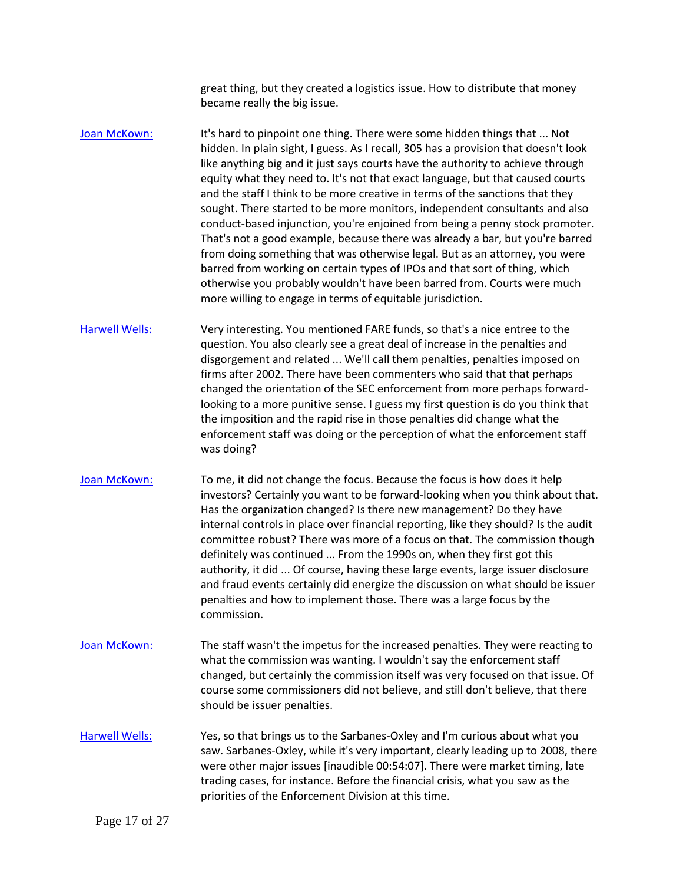great thing, but they created a logistics issue. How to distribute that money became really the big issue.

[Joan McKown:](https://www.rev.com/transcript-editor/Edit?token=Iyxak9jMgyohgeYvlB7F6oXfuiacoHD_hzI4jq8VNzL3EHYpmH88eMHZnmGoeW7Rcl_6DroOntUH-Z6SoFKsoerbcjM&loadFrom=DocumentSpeakerNameDeeplink&ts=3033.74) It's hard to pinpoint one thing. There were some hidden things that ... Not hidden. In plain sight, I guess. As I recall, 305 has a provision that doesn't look like anything big and it just says courts have the authority to achieve through equity what they need to. It's not that exact language, but that caused courts and the staff I think to be more creative in terms of the sanctions that they sought. There started to be more monitors, independent consultants and also conduct-based injunction, you're enjoined from being a penny stock promoter. That's not a good example, because there was already a bar, but you're barred from doing something that was otherwise legal. But as an attorney, you were barred from working on certain types of IPOs and that sort of thing, which otherwise you probably wouldn't have been barred from. Courts were much more willing to engage in terms of equitable jurisdiction.

[Harwell Wells:](https://www.rev.com/transcript-editor/Edit?token=ZXZwX7dKWtSMWXXNApeO69DYmvR5pG1oJpAmLujXWhoLZ-nzYe1-n1npuM3F25FYOD_1XuP-X285b8WTItyhEACcCnE&loadFrom=DocumentSpeakerNameDeeplink&ts=3109.49) Very interesting. You mentioned FARE funds, so that's a nice entree to the question. You also clearly see a great deal of increase in the penalties and disgorgement and related ... We'll call them penalties, penalties imposed on firms after 2002. There have been commenters who said that that perhaps changed the orientation of the SEC enforcement from more perhaps forwardlooking to a more punitive sense. I guess my first question is do you think that the imposition and the rapid rise in those penalties did change what the enforcement staff was doing or the perception of what the enforcement staff was doing?

[Joan McKown:](https://www.rev.com/transcript-editor/Edit?token=7guLIo_3yoOiIIVZfxyVQTlbU6cl2-tjxcrwKRPJ3c1sVWK4jHqN7o-sglWR5JrvhYiLmjPNy36cR_bA4Hrg0r7rAWc&loadFrom=DocumentSpeakerNameDeeplink&ts=3156.67) To me, it did not change the focus. Because the focus is how does it help investors? Certainly you want to be forward-looking when you think about that. Has the organization changed? Is there new management? Do they have internal controls in place over financial reporting, like they should? Is the audit committee robust? There was more of a focus on that. The commission though definitely was continued ... From the 1990s on, when they first got this authority, it did ... Of course, having these large events, large issuer disclosure and fraud events certainly did energize the discussion on what should be issuer penalties and how to implement those. There was a large focus by the commission.

- [Joan McKown:](https://www.rev.com/transcript-editor/Edit?token=pwtdzEuBl9xyEjv22u-aJUUmrVmjCLM26qAGWmQBGoS_ilN_e8X48k929yTk_G5ykVYXxsIoxTeqFFn6ln444QESIlw&loadFrom=DocumentSpeakerNameDeeplink&ts=3213.21) The staff wasn't the impetus for the increased penalties. They were reacting to what the commission was wanting. I wouldn't say the enforcement staff changed, but certainly the commission itself was very focused on that issue. Of course some commissioners did not believe, and still don't believe, that there should be issuer penalties.
- [Harwell Wells:](https://www.rev.com/transcript-editor/Edit?token=18a-C3yw8c15XqRawG7402g_PQH4DOcNQKYYBiZKrVlS9nrTkWHYXZndirKHREgrp_RtbTS3kA9iiFKGmZwRxMdWozs&loadFrom=DocumentSpeakerNameDeeplink&ts=3232.81) Yes, so that brings us to the Sarbanes-Oxley and I'm curious about what you saw. Sarbanes-Oxley, while it's very important, clearly leading up to 2008, there were other major issues [inaudible 00:54:07]. There were market timing, late trading cases, for instance. Before the financial crisis, what you saw as the priorities of the Enforcement Division at this time.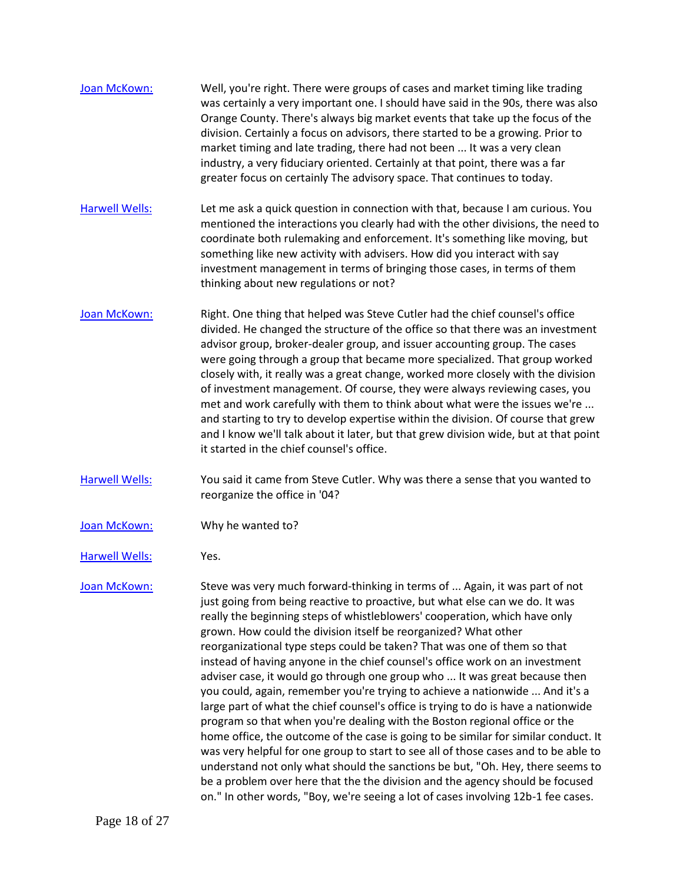| Joan McKown:          | Well, you're right. There were groups of cases and market timing like trading<br>was certainly a very important one. I should have said in the 90s, there was also<br>Orange County. There's always big market events that take up the focus of the<br>division. Certainly a focus on advisors, there started to be a growing. Prior to<br>market timing and late trading, there had not been  It was a very clean<br>industry, a very fiduciary oriented. Certainly at that point, there was a far<br>greater focus on certainly The advisory space. That continues to today.                                                                                                                                                                                                                                                                                                                                                                                                                                                                                                                                                                                                                                                                   |
|-----------------------|--------------------------------------------------------------------------------------------------------------------------------------------------------------------------------------------------------------------------------------------------------------------------------------------------------------------------------------------------------------------------------------------------------------------------------------------------------------------------------------------------------------------------------------------------------------------------------------------------------------------------------------------------------------------------------------------------------------------------------------------------------------------------------------------------------------------------------------------------------------------------------------------------------------------------------------------------------------------------------------------------------------------------------------------------------------------------------------------------------------------------------------------------------------------------------------------------------------------------------------------------|
| <b>Harwell Wells:</b> | Let me ask a quick question in connection with that, because I am curious. You<br>mentioned the interactions you clearly had with the other divisions, the need to<br>coordinate both rulemaking and enforcement. It's something like moving, but<br>something like new activity with advisers. How did you interact with say<br>investment management in terms of bringing those cases, in terms of them<br>thinking about new regulations or not?                                                                                                                                                                                                                                                                                                                                                                                                                                                                                                                                                                                                                                                                                                                                                                                              |
| Joan McKown:          | Right. One thing that helped was Steve Cutler had the chief counsel's office<br>divided. He changed the structure of the office so that there was an investment<br>advisor group, broker-dealer group, and issuer accounting group. The cases<br>were going through a group that became more specialized. That group worked<br>closely with, it really was a great change, worked more closely with the division<br>of investment management. Of course, they were always reviewing cases, you<br>met and work carefully with them to think about what were the issues we're<br>and starting to try to develop expertise within the division. Of course that grew<br>and I know we'll talk about it later, but that grew division wide, but at that point<br>it started in the chief counsel's office.                                                                                                                                                                                                                                                                                                                                                                                                                                           |
| <b>Harwell Wells:</b> | You said it came from Steve Cutler. Why was there a sense that you wanted to<br>reorganize the office in '04?                                                                                                                                                                                                                                                                                                                                                                                                                                                                                                                                                                                                                                                                                                                                                                                                                                                                                                                                                                                                                                                                                                                                    |
| Joan McKown:          | Why he wanted to?                                                                                                                                                                                                                                                                                                                                                                                                                                                                                                                                                                                                                                                                                                                                                                                                                                                                                                                                                                                                                                                                                                                                                                                                                                |
| <b>Harwell Wells:</b> | Yes.                                                                                                                                                                                                                                                                                                                                                                                                                                                                                                                                                                                                                                                                                                                                                                                                                                                                                                                                                                                                                                                                                                                                                                                                                                             |
| Joan McKown:          | Steve was very much forward-thinking in terms of  Again, it was part of not<br>just going from being reactive to proactive, but what else can we do. It was<br>really the beginning steps of whistleblowers' cooperation, which have only<br>grown. How could the division itself be reorganized? What other<br>reorganizational type steps could be taken? That was one of them so that<br>instead of having anyone in the chief counsel's office work on an investment<br>adviser case, it would go through one group who  It was great because then<br>you could, again, remember you're trying to achieve a nationwide  And it's a<br>large part of what the chief counsel's office is trying to do is have a nationwide<br>program so that when you're dealing with the Boston regional office or the<br>home office, the outcome of the case is going to be similar for similar conduct. It<br>was very helpful for one group to start to see all of those cases and to be able to<br>understand not only what should the sanctions be but, "Oh. Hey, there seems to<br>be a problem over here that the the division and the agency should be focused<br>on." In other words, "Boy, we're seeing a lot of cases involving 12b-1 fee cases. |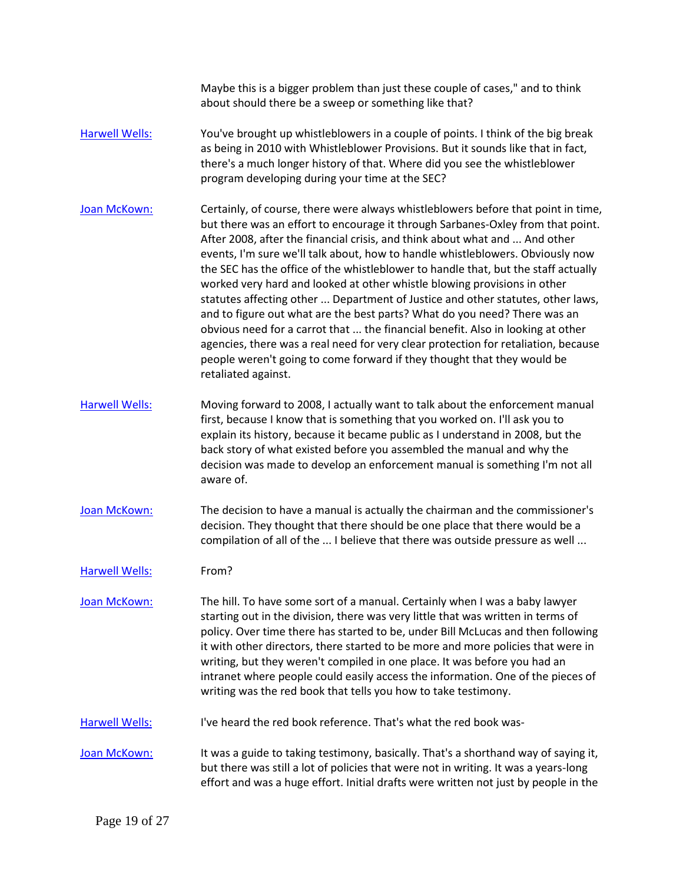Maybe this is a bigger problem than just these couple of cases," and to think about should there be a sweep or something like that?

- [Harwell Wells:](https://www.rev.com/transcript-editor/Edit?token=4nGwTqkeId4WauNTvWwnjoYPg2RhFvlV85H2A7ZclZQsOxbeduX0elL8k2EAUTDEBJVFT66_V_M7U_wll975ugSbcFw&loadFrom=DocumentSpeakerNameDeeplink&ts=3498.24) You've brought up whistleblowers in a couple of points. I think of the big break as being in 2010 with Whistleblower Provisions. But it sounds like that in fact, there's a much longer history of that. Where did you see the whistleblower program developing during your time at the SEC?
- [Joan McKown:](https://www.rev.com/transcript-editor/Edit?token=kOabvJ3yU1OOR0ZexkhpaXDTErbIEKZaXAM3fYTJRjqx87QePLwbPDdYeg6vJRXc1mKei4C_6m8Ar-j14GhpvDhzWjs&loadFrom=DocumentSpeakerNameDeeplink&ts=3517.79) Certainly, of course, there were always whistleblowers before that point in time, but there was an effort to encourage it through Sarbanes-Oxley from that point. After 2008, after the financial crisis, and think about what and ... And other events, I'm sure we'll talk about, how to handle whistleblowers. Obviously now the SEC has the office of the whistleblower to handle that, but the staff actually worked very hard and looked at other whistle blowing provisions in other statutes affecting other ... Department of Justice and other statutes, other laws, and to figure out what are the best parts? What do you need? There was an obvious need for a carrot that ... the financial benefit. Also in looking at other agencies, there was a real need for very clear protection for retaliation, because people weren't going to come forward if they thought that they would be retaliated against.
- [Harwell Wells:](https://www.rev.com/transcript-editor/Edit?token=W779r7AMPRsMT4l2HDBtafTNtwsOciMv-RKrmGG_E-4h5YozSHxkzbjL4J2IJP-hkCeGyYj93CveLDoiGzye0zHSs94&loadFrom=DocumentSpeakerNameDeeplink&ts=3590.09) Moving forward to 2008, I actually want to talk about the enforcement manual first, because I know that is something that you worked on. I'll ask you to explain its history, because it became public as I understand in 2008, but the back story of what existed before you assembled the manual and why the decision was made to develop an enforcement manual is something I'm not all aware of.
- [Joan McKown:](https://www.rev.com/transcript-editor/Edit?token=NkTX2_Kx1i1Toh4kXcpiftAhG6F7soq_qNXWSnq-7WC55N9sgD85PX3ao5vtEQZ49xGOWzyx7HU1D0BsYec8t7Vk-Mc&loadFrom=DocumentSpeakerNameDeeplink&ts=3617.63) The decision to have a manual is actually the chairman and the commissioner's decision. They thought that there should be one place that there would be a compilation of all of the ... I believe that there was outside pressure as well ...

[Harwell Wells:](https://www.rev.com/transcript-editor/Edit?token=S9ZNsT6B5Q84eJ1D-7DUBjcNPFfp1ba1Ibbhh8U0U8B7HCZp0nH_gydBs7G_wLArZukBGNsOPka3EP7vG_e-P8Owjos&loadFrom=DocumentSpeakerNameDeeplink&ts=3633.38) From?

[Joan McKown:](https://www.rev.com/transcript-editor/Edit?token=vcfC8CAQQsnqWsljbthO2GsqjVq8_uz9VT1WolZF5DNzdtI2WrjMYKan2wYTRR9CzzxWsfN4rnEs4ab0sLzsaYDzLJA&loadFrom=DocumentSpeakerNameDeeplink&ts=3635.35) The hill. To have some sort of a manual. Certainly when I was a baby lawyer starting out in the division, there was very little that was written in terms of policy. Over time there has started to be, under Bill McLucas and then following it with other directors, there started to be more and more policies that were in writing, but they weren't compiled in one place. It was before you had an intranet where people could easily access the information. One of the pieces of writing was the red book that tells you how to take testimony.

[Harwell Wells:](https://www.rev.com/transcript-editor/Edit?token=T4kk53DoludFO4Z4DBGtE94zayk22JUIQHn6ca0VBPRhNwTfJX_RJhKFotAo15dxvkdCiWTf2SEocok6wacVDxTKGqU&loadFrom=DocumentSpeakerNameDeeplink&ts=3674.59) I've heard the red book reference. That's what the red book was-

[Joan McKown:](https://www.rev.com/transcript-editor/Edit?token=DqEu3pH9a5ipkydQ5tJRawYkIMRMITQEaOmWi2KmaGmJtAXmdmK3FHEtPouBhIkzV8TtlmbXKMROX_4lNB5UMnpVsNk&loadFrom=DocumentSpeakerNameDeeplink&ts=3677.44) It was a guide to taking testimony, basically. That's a shorthand way of saying it, but there was still a lot of policies that were not in writing. It was a years-long effort and was a huge effort. Initial drafts were written not just by people in the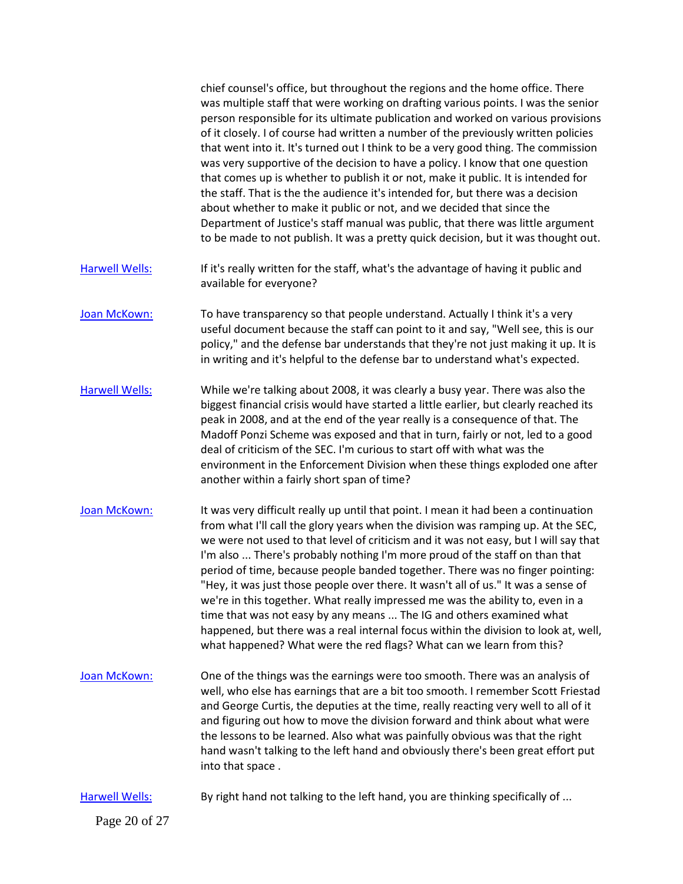|                       | chief counsel's office, but throughout the regions and the home office. There<br>was multiple staff that were working on drafting various points. I was the senior<br>person responsible for its ultimate publication and worked on various provisions<br>of it closely. I of course had written a number of the previously written policies<br>that went into it. It's turned out I think to be a very good thing. The commission<br>was very supportive of the decision to have a policy. I know that one question<br>that comes up is whether to publish it or not, make it public. It is intended for<br>the staff. That is the the audience it's intended for, but there was a decision<br>about whether to make it public or not, and we decided that since the<br>Department of Justice's staff manual was public, that there was little argument<br>to be made to not publish. It was a pretty quick decision, but it was thought out. |
|-----------------------|------------------------------------------------------------------------------------------------------------------------------------------------------------------------------------------------------------------------------------------------------------------------------------------------------------------------------------------------------------------------------------------------------------------------------------------------------------------------------------------------------------------------------------------------------------------------------------------------------------------------------------------------------------------------------------------------------------------------------------------------------------------------------------------------------------------------------------------------------------------------------------------------------------------------------------------------|
| <b>Harwell Wells:</b> | If it's really written for the staff, what's the advantage of having it public and<br>available for everyone?                                                                                                                                                                                                                                                                                                                                                                                                                                                                                                                                                                                                                                                                                                                                                                                                                                  |
| Joan McKown:          | To have transparency so that people understand. Actually I think it's a very<br>useful document because the staff can point to it and say, "Well see, this is our<br>policy," and the defense bar understands that they're not just making it up. It is<br>in writing and it's helpful to the defense bar to understand what's expected.                                                                                                                                                                                                                                                                                                                                                                                                                                                                                                                                                                                                       |
| <b>Harwell Wells:</b> | While we're talking about 2008, it was clearly a busy year. There was also the<br>biggest financial crisis would have started a little earlier, but clearly reached its<br>peak in 2008, and at the end of the year really is a consequence of that. The<br>Madoff Ponzi Scheme was exposed and that in turn, fairly or not, led to a good<br>deal of criticism of the SEC. I'm curious to start off with what was the<br>environment in the Enforcement Division when these things exploded one after<br>another within a fairly short span of time?                                                                                                                                                                                                                                                                                                                                                                                          |
| Joan McKown:          | It was very difficult really up until that point. I mean it had been a continuation<br>from what I'll call the glory years when the division was ramping up. At the SEC,<br>we were not used to that level of criticism and it was not easy, but I will say that<br>I'm also  There's probably nothing I'm more proud of the staff on than that<br>period of time, because people banded together. There was no finger pointing:<br>"Hey, it was just those people over there. It wasn't all of us." It was a sense of<br>we're in this together. What really impressed me was the ability to, even in a<br>time that was not easy by any means  The IG and others examined what<br>happened, but there was a real internal focus within the division to look at, well,<br>what happened? What were the red flags? What can we learn from this?                                                                                                |
| Joan McKown:          | One of the things was the earnings were too smooth. There was an analysis of<br>well, who else has earnings that are a bit too smooth. I remember Scott Friestad<br>and George Curtis, the deputies at the time, really reacting very well to all of it<br>and figuring out how to move the division forward and think about what were<br>the lessons to be learned. Also what was painfully obvious was that the right<br>hand wasn't talking to the left hand and obviously there's been great effort put<br>into that space.                                                                                                                                                                                                                                                                                                                                                                                                                |
| <b>Harwell Wells:</b> | By right hand not talking to the left hand, you are thinking specifically of                                                                                                                                                                                                                                                                                                                                                                                                                                                                                                                                                                                                                                                                                                                                                                                                                                                                   |
| Page 20 of 27         |                                                                                                                                                                                                                                                                                                                                                                                                                                                                                                                                                                                                                                                                                                                                                                                                                                                                                                                                                |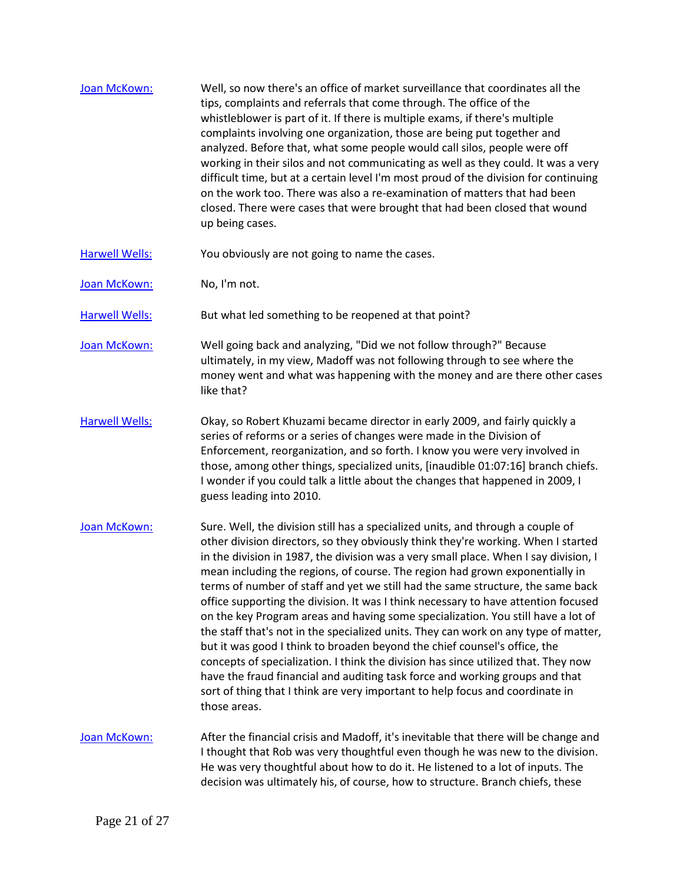| Joan McKown: | Well, so now there's an office of market surveillance that coordinates all the<br>tips, complaints and referrals that come through. The office of the             |
|--------------|-------------------------------------------------------------------------------------------------------------------------------------------------------------------|
|              | whistleblower is part of it. If there is multiple exams, if there's multiple                                                                                      |
|              | complaints involving one organization, those are being put together and                                                                                           |
|              | analyzed. Before that, what some people would call silos, people were off                                                                                         |
|              | working in their silos and not communicating as well as they could. It was a very                                                                                 |
|              | difficult time, but at a certain level I'm most proud of the division for continuing<br>on the work too. There was also a re-examination of matters that had been |
|              | closed. There were cases that were brought that had been closed that wound<br>up being cases.                                                                     |
|              |                                                                                                                                                                   |

[Harwell Wells:](https://www.rev.com/transcript-editor/Edit?token=gHe7g2yLryZyHytWqX7pxKgvFvLx2YIb2p4mBM16yRTgNK72K3wnLCOM3HilkUv4sZ-8SNqoeaWHu2zPoXOdxZuhJCQ&loadFrom=DocumentSpeakerNameDeeplink&ts=3993.2) You obviously are not going to name the cases.

[Joan McKown:](https://www.rev.com/transcript-editor/Edit?token=uMtfU3o3orH3oJkmEOR4AbZwSu2qQB6Z-GdZqe7Q3NhKfme-sgnaPfQydpcVTE4qfioiZ0BLsCDNYuEa7sBdaJjJXts&loadFrom=DocumentSpeakerNameDeeplink&ts=3994.97) No, I'm not.

[Harwell Wells:](https://www.rev.com/transcript-editor/Edit?token=P8yI5zdLtWo51TVLIid4R6bZpddXWvu8cbKZ9G51ZQpYa4OUFq5ClJlJaqbUzXgk29uSuzNAhtDJ3tZ2bj0yCFfhGs0&loadFrom=DocumentSpeakerNameDeeplink&ts=3995.44) But what led something to be reopened at that point?

[Joan McKown:](https://www.rev.com/transcript-editor/Edit?token=1QQPvNHvTATWsInSR05-QTdCXV8qrPQVQGq-3nB4kWFL9_j4VY2LjgtSgydKbALDgmOCLk9-gTvCA2UWAFqjuskTjmg&loadFrom=DocumentSpeakerNameDeeplink&ts=3998.01) Well going back and analyzing, "Did we not follow through?" Because ultimately, in my view, Madoff was not following through to see where the money went and what was happening with the money and are there other cases like that?

[Harwell Wells:](https://www.rev.com/transcript-editor/Edit?token=7x3dptWc-_zCsBlVDbQO1wuUbjaAhskfILGlfEbTnFMq9UHRbsfVALroH47Vr9RutbQEzGzjoa4Yj77mQBfD5jcAaa4&loadFrom=DocumentSpeakerNameDeeplink&ts=4017.34) Okay, so Robert Khuzami became director in early 2009, and fairly quickly a series of reforms or a series of changes were made in the Division of Enforcement, reorganization, and so forth. I know you were very involved in those, among other things, specialized units, [inaudible 01:07:16] branch chiefs. I wonder if you could talk a little about the changes that happened in 2009, I guess leading into 2010.

- [Joan McKown:](https://www.rev.com/transcript-editor/Edit?token=WaW_M9gm32bhQoc922OmMrWGMnFjKMkB7dO9cIkUzzTZG7nkzPuuSe0ChnM3afJaQoPhaAKiEHRI8gCLgyvKOd9Mb8E&loadFrom=DocumentSpeakerNameDeeplink&ts=4044.57) Sure. Well, the division still has a specialized units, and through a couple of other division directors, so they obviously think they're working. When I started in the division in 1987, the division was a very small place. When I say division, I mean including the regions, of course. The region had grown exponentially in terms of number of staff and yet we still had the same structure, the same back office supporting the division. It was I think necessary to have attention focused on the key Program areas and having some specialization. You still have a lot of the staff that's not in the specialized units. They can work on any type of matter, but it was good I think to broaden beyond the chief counsel's office, the concepts of specialization. I think the division has since utilized that. They now have the fraud financial and auditing task force and working groups and that sort of thing that I think are very important to help focus and coordinate in those areas.
- [Joan McKown:](https://www.rev.com/transcript-editor/Edit?token=nNta8C3sV9BwZSMsR_5Z1SsVpohMCjdOffkHslKcNJrYsfVjr6fvgpOh3SEhTeDAv6jm8BfdfdyU5ONPGZRcaddmtO8&loadFrom=DocumentSpeakerNameDeeplink&ts=4122.86) After the financial crisis and Madoff, it's inevitable that there will be change and I thought that Rob was very thoughtful even though he was new to the division. He was very thoughtful about how to do it. He listened to a lot of inputs. The decision was ultimately his, of course, how to structure. Branch chiefs, these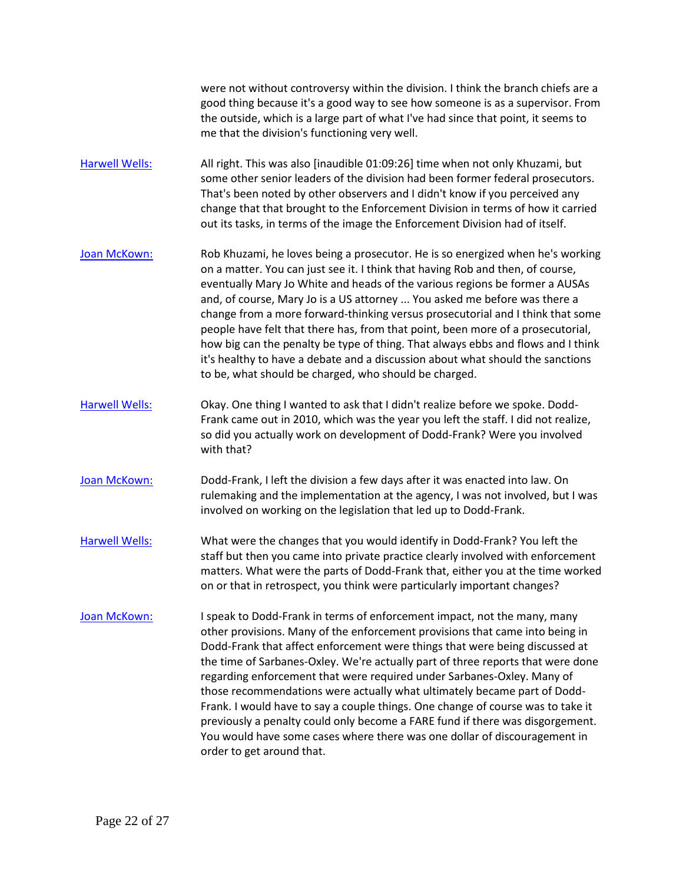were not without controversy within the division. I think the branch chiefs are a good thing because it's a good way to see how someone is as a supervisor. From the outside, which is a large part of what I've had since that point, it seems to me that the division's functioning very well.

- [Harwell Wells:](https://www.rev.com/transcript-editor/Edit?token=yn5CnRoJb1Irb1rd5EGa1_psbSYcInrP6dmdyXGM_StSBBr_qVBQ-1JaCsQ3qLrQ1Pl3OWSx54S3lIHDaC8Ao9Ez7Sk&loadFrom=DocumentSpeakerNameDeeplink&ts=4163.4) All right. This was also [inaudible 01:09:26] time when not only Khuzami, but some other senior leaders of the division had been former federal prosecutors. That's been noted by other observers and I didn't know if you perceived any change that that brought to the Enforcement Division in terms of how it carried out its tasks, in terms of the image the Enforcement Division had of itself.
- [Joan McKown:](https://www.rev.com/transcript-editor/Edit?token=MeifqG3P6uz6iV1gmTF7Kg6JtaESIDYSSzl8c8fYTrbABlHUNbaMjBC-LaZfOaUK-aPnLwyiaWGRZu77rgPE6_hKlV8&loadFrom=DocumentSpeakerNameDeeplink&ts=4188.61) Rob Khuzami, he loves being a prosecutor. He is so energized when he's working on a matter. You can just see it. I think that having Rob and then, of course, eventually Mary Jo White and heads of the various regions be former a AUSAs and, of course, Mary Jo is a US attorney ... You asked me before was there a change from a more forward-thinking versus prosecutorial and I think that some people have felt that there has, from that point, been more of a prosecutorial, how big can the penalty be type of thing. That always ebbs and flows and I think it's healthy to have a debate and a discussion about what should the sanctions to be, what should be charged, who should be charged.
- [Harwell Wells:](https://www.rev.com/transcript-editor/Edit?token=wyn-xpST45IfFGR7CogBnKHQ3HoBrX4wFmBcLMru6OVpfw8B0AhnL1X4t2bxA5GRs4WMR_h6L_CI-J5RbwEMjqc6Fgc&loadFrom=DocumentSpeakerNameDeeplink&ts=4240) Okay. One thing I wanted to ask that I didn't realize before we spoke. Dodd-Frank came out in 2010, which was the year you left the staff. I did not realize, so did you actually work on development of Dodd-Frank? Were you involved with that?
- [Joan McKown:](https://www.rev.com/transcript-editor/Edit?token=isrjwZBuYDTsD4C5a-GqWOq3CbYV5jiY0cMTGUHUSXqiY5tf4JrJZ_0hOmCLHSAflsiHiuykHPcrcg6chpwkia0Z7mY&loadFrom=DocumentSpeakerNameDeeplink&ts=4254.67) Dodd-Frank, I left the division a few days after it was enacted into law. On rulemaking and the implementation at the agency, I was not involved, but I was involved on working on the legislation that led up to Dodd-Frank.
- [Harwell Wells:](https://www.rev.com/transcript-editor/Edit?token=SXibit5gaIWQzRsMZmUogcn3Ra-WLpF1Q_evGKR_Qum0HtnYtRAXZt8dxn7luilQF8J863ZzT9CxvmKNeDkdOap1lVg&loadFrom=DocumentSpeakerNameDeeplink&ts=4271.11) What were the changes that you would identify in Dodd-Frank? You left the staff but then you came into private practice clearly involved with enforcement matters. What were the parts of Dodd-Frank that, either you at the time worked on or that in retrospect, you think were particularly important changes?
- [Joan McKown:](https://www.rev.com/transcript-editor/Edit?token=RWreUofMi1bxtnXFBeJTuZAvy1UZNsmCF0iZPMdK5XuCFK4bCPtnrbpe4MJW8_dRFBwMBvRwP7I4WacOXXUTWWPnTJs&loadFrom=DocumentSpeakerNameDeeplink&ts=4293.79) I speak to Dodd-Frank in terms of enforcement impact, not the many, many other provisions. Many of the enforcement provisions that came into being in Dodd-Frank that affect enforcement were things that were being discussed at the time of Sarbanes-Oxley. We're actually part of three reports that were done regarding enforcement that were required under Sarbanes-Oxley. Many of those recommendations were actually what ultimately became part of Dodd-Frank. I would have to say a couple things. One change of course was to take it previously a penalty could only become a FARE fund if there was disgorgement. You would have some cases where there was one dollar of discouragement in order to get around that.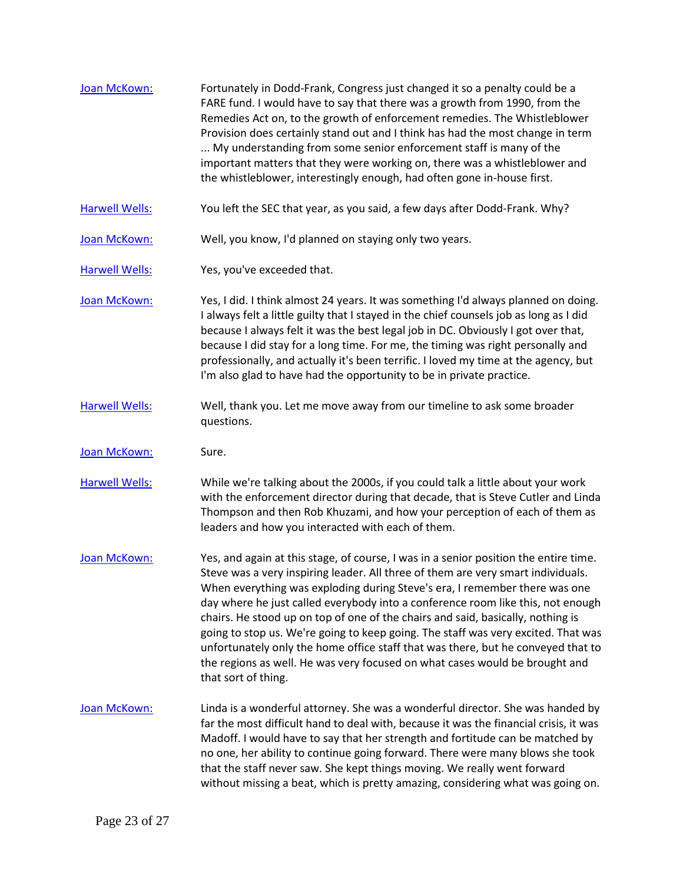| Joan McKown:          | Fortunately in Dodd-Frank, Congress just changed it so a penalty could be a<br>FARE fund. I would have to say that there was a growth from 1990, from the<br>Remedies Act on, to the growth of enforcement remedies. The Whistleblower<br>Provision does certainly stand out and I think has had the most change in term<br>My understanding from some senior enforcement staff is many of the<br>important matters that they were working on, there was a whistleblower and<br>the whistleblower, interestingly enough, had often gone in-house first.                                                                                                                                                     |
|-----------------------|-------------------------------------------------------------------------------------------------------------------------------------------------------------------------------------------------------------------------------------------------------------------------------------------------------------------------------------------------------------------------------------------------------------------------------------------------------------------------------------------------------------------------------------------------------------------------------------------------------------------------------------------------------------------------------------------------------------|
| <b>Harwell Wells:</b> | You left the SEC that year, as you said, a few days after Dodd-Frank. Why?                                                                                                                                                                                                                                                                                                                                                                                                                                                                                                                                                                                                                                  |
| Joan McKown:          | Well, you know, I'd planned on staying only two years.                                                                                                                                                                                                                                                                                                                                                                                                                                                                                                                                                                                                                                                      |
| <b>Harwell Wells:</b> | Yes, you've exceeded that.                                                                                                                                                                                                                                                                                                                                                                                                                                                                                                                                                                                                                                                                                  |
| Joan McKown:          | Yes, I did. I think almost 24 years. It was something I'd always planned on doing.<br>I always felt a little guilty that I stayed in the chief counsels job as long as I did<br>because I always felt it was the best legal job in DC. Obviously I got over that,<br>because I did stay for a long time. For me, the timing was right personally and<br>professionally, and actually it's been terrific. I loved my time at the agency, but<br>I'm also glad to have had the opportunity to be in private practice.                                                                                                                                                                                         |
| <b>Harwell Wells:</b> | Well, thank you. Let me move away from our timeline to ask some broader<br>questions.                                                                                                                                                                                                                                                                                                                                                                                                                                                                                                                                                                                                                       |
| Joan McKown:          | Sure.                                                                                                                                                                                                                                                                                                                                                                                                                                                                                                                                                                                                                                                                                                       |
| <b>Harwell Wells:</b> | While we're talking about the 2000s, if you could talk a little about your work<br>with the enforcement director during that decade, that is Steve Cutler and Linda<br>Thompson and then Rob Khuzami, and how your perception of each of them as<br>leaders and how you interacted with each of them.                                                                                                                                                                                                                                                                                                                                                                                                       |
| Joan McKown:          | Yes, and again at this stage, of course, I was in a senior position the entire time.<br>Steve was a very inspiring leader. All three of them are very smart individuals.<br>When everything was exploding during Steve's era, I remember there was one<br>day where he just called everybody into a conference room like this, not enough<br>chairs. He stood up on top of one of the chairs and said, basically, nothing is<br>going to stop us. We're going to keep going. The staff was very excited. That was<br>unfortunately only the home office staff that was there, but he conveyed that to<br>the regions as well. He was very focused on what cases would be brought and<br>that sort of thing. |
| Joan McKown:          | Linda is a wonderful attorney. She was a wonderful director. She was handed by<br>far the most difficult hand to deal with, because it was the financial crisis, it was<br>Madoff. I would have to say that her strength and fortitude can be matched by<br>no one, her ability to continue going forward. There were many blows she took<br>that the staff never saw. She kept things moving. We really went forward<br>without missing a beat, which is pretty amazing, considering what was going on.                                                                                                                                                                                                    |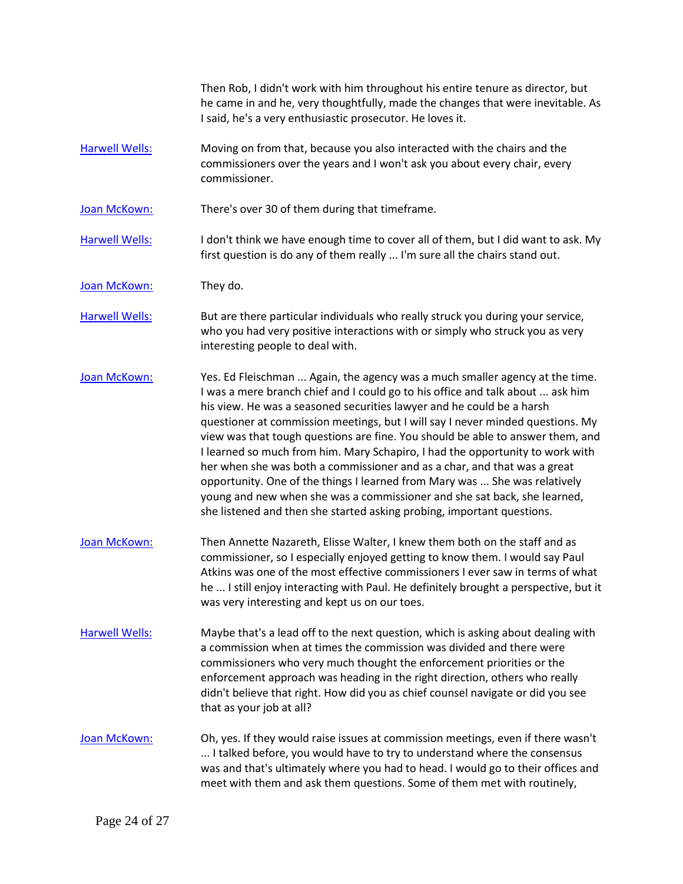Then Rob, I didn't work with him throughout his entire tenure as director, but he came in and he, very thoughtfully, made the changes that were inevitable. As I said, he's a very enthusiastic prosecutor. He loves it.

[Harwell Wells:](https://www.rev.com/transcript-editor/Edit?token=62gG6XzpAY9URdUTS3fOzqxjRUfRrkmj0CHZZLjZLGdYaa_BPIC0SlfwfJEqGVghTRTHLqL10iP81XOi_RvfC39LIJ0&loadFrom=DocumentSpeakerNameDeeplink&ts=4549.74) Moving on from that, because you also interacted with the chairs and the commissioners over the years and I won't ask you about every chair, every commissioner.

[Joan McKown:](https://www.rev.com/transcript-editor/Edit?token=sDCuB_KdQDRQXuJ3r76-5z_5Rmq8_9413BI2yUZsWftBGqtAygVZPsy58FAnT2LDSBDzS9vAmql554vLC3of1YcfLck&loadFrom=DocumentSpeakerNameDeeplink&ts=4557.56) There's over 30 of them during that timeframe.

[Harwell Wells:](https://www.rev.com/transcript-editor/Edit?token=eaV_7wrOFVhSTZdmBcr2gBGALWovMxyiT0bDTrTm2S_t8jS7dNCxq2j7jrmhfX_3aRic9vMvZU-kTyGBUdIPEcOPTiY&loadFrom=DocumentSpeakerNameDeeplink&ts=4559.17) I don't think we have enough time to cover all of them, but I did want to ask. My first question is do any of them really ... I'm sure all the chairs stand out.

[Joan McKown:](https://www.rev.com/transcript-editor/Edit?token=ZwlWsthxf3WcsZarlI81MZE5CP4bDki9vRxfnAKy9cFhiFucQdO0DdI10CDcJYo85DyDRoXpv7zCu3ZHdTMl7xxqS0I&loadFrom=DocumentSpeakerNameDeeplink&ts=4568.7) They do.

[Harwell Wells:](https://www.rev.com/transcript-editor/Edit?token=Q-rIp-uDeDYXACbI__WuA7Sly-U1pKtKmXXSiL2SiFnou---n0VQQaHHa5Qczg9vUzUtrRNhFZDhPauSmYMdy3pfXbI&loadFrom=DocumentSpeakerNameDeeplink&ts=4569.4) But are there particular individuals who really struck you during your service, who you had very positive interactions with or simply who struck you as very interesting people to deal with.

[Joan McKown:](https://www.rev.com/transcript-editor/Edit?token=lBMV9yndKOgnaXDrVzM-OUxXMjDBri0X2Tq9HbBCyIQN57a7DpO75NCsOYwlOcspThBCNg67oymvpkctjp2vO8wRFUg&loadFrom=DocumentSpeakerNameDeeplink&ts=4580.71) Yes. Ed Fleischman ... Again, the agency was a much smaller agency at the time. I was a mere branch chief and I could go to his office and talk about ... ask him his view. He was a seasoned securities lawyer and he could be a harsh questioner at commission meetings, but I will say I never minded questions. My view was that tough questions are fine. You should be able to answer them, and I learned so much from him. Mary Schapiro, I had the opportunity to work with her when she was both a commissioner and as a char, and that was a great opportunity. One of the things I learned from Mary was ... She was relatively young and new when she was a commissioner and she sat back, she learned, she listened and then she started asking probing, important questions.

- [Joan McKown:](https://www.rev.com/transcript-editor/Edit?token=dMEMrqFvP54WeDn4RFlAMDhEJsIxvYOyoYXacSF1OF3gEXeJDqhr_fLhLEYrUczdzIIQaBwBy3HjizRssugbNUqbfAs&loadFrom=DocumentSpeakerNameDeeplink&ts=4636.96) Then Annette Nazareth, Elisse Walter, I knew them both on the staff and as commissioner, so I especially enjoyed getting to know them. I would say Paul Atkins was one of the most effective commissioners I ever saw in terms of what he ... I still enjoy interacting with Paul. He definitely brought a perspective, but it was very interesting and kept us on our toes.
- [Harwell Wells:](https://www.rev.com/transcript-editor/Edit?token=g7aYL7WcdQaRWFDMeuaD8-qttEisPiwWhdj6DgqGK-q4u999MtqOjUDMCAiJ3TXxkZIshbZed11HaFUxvfr7nej2Hog&loadFrom=DocumentSpeakerNameDeeplink&ts=4663.69) Maybe that's a lead off to the next question, which is asking about dealing with a commission when at times the commission was divided and there were commissioners who very much thought the enforcement priorities or the enforcement approach was heading in the right direction, others who really didn't believe that right. How did you as chief counsel navigate or did you see that as your job at all?
- [Joan McKown:](https://www.rev.com/transcript-editor/Edit?token=oMe_FcdCbTXZdoNh-T20Mxjffb8Z_9rVmP2FpL4j6FLaLyCkcb2HknkQyrXYMVxDavN80BfVpKsrlrhbr9nY9-v40iQ&loadFrom=DocumentSpeakerNameDeeplink&ts=4685.58) Oh, yes. If they would raise issues at commission meetings, even if there wasn't ... I talked before, you would have to try to understand where the consensus was and that's ultimately where you had to head. I would go to their offices and meet with them and ask them questions. Some of them met with routinely,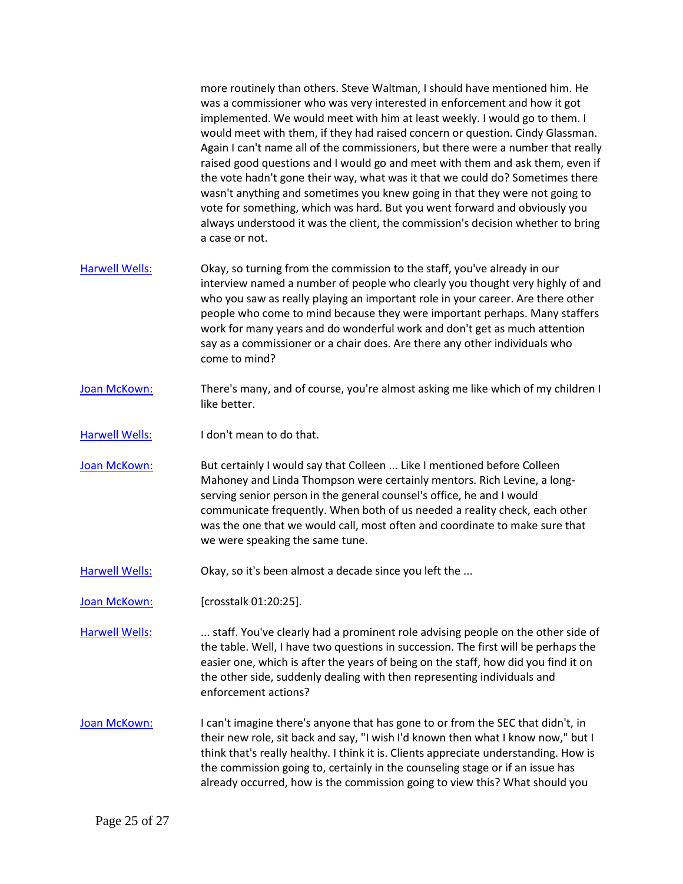more routinely than others. Steve Waltman, I should have mentioned him. He was a commissioner who was very interested in enforcement and how it got implemented. We would meet with him at least weekly. I would go to them. I would meet with them, if they had raised concern or question. Cindy Glassman. Again I can't name all of the commissioners, but there were a number that really raised good questions and I would go and meet with them and ask them, even if the vote hadn't gone their way, what was it that we could do? Sometimes there wasn't anything and sometimes you knew going in that they were not going to vote for something, which was hard. But you went forward and obviously you always understood it was the client, the commission's decision whether to bring a case or not.

- [Harwell Wells:](https://www.rev.com/transcript-editor/Edit?token=tl1lexRa23AgS7XII4m2CmVGaCVu1wAz9w7V-3M3ILayuU__yv29cEzFeX9vOK4TQv73WNBFK9H8LTgK9ZmekFxfzp0&loadFrom=DocumentSpeakerNameDeeplink&ts=4759.94) Okay, so turning from the commission to the staff, you've already in our interview named a number of people who clearly you thought very highly of and who you saw as really playing an important role in your career. Are there other people who come to mind because they were important perhaps. Many staffers work for many years and do wonderful work and don't get as much attention say as a commissioner or a chair does. Are there any other individuals who come to mind?
- [Joan McKown:](https://www.rev.com/transcript-editor/Edit?token=nrS5TCTm4lylGBoT2kXZO8tmvTdsr1loiu-F_5l2FGdT0qVp-wMvKdb2tIdwFH_z0ZWsALhyAudpcKi2IdmwlFKz_6Q&loadFrom=DocumentSpeakerNameDeeplink&ts=4783.09) There's many, and of course, you're almost asking me like which of my children I like better.
- [Harwell Wells:](https://www.rev.com/transcript-editor/Edit?token=yxMfn6IkO_vOOzo8Pr7agaKNXduXHAsp9cPev203eDHCCNIF1v8zOKgOrH0DpXEXJlj6SyOzIUNcuYlslIHjyyAqd6k&loadFrom=DocumentSpeakerNameDeeplink&ts=4789.01) I don't mean to do that.
- [Joan McKown:](https://www.rev.com/transcript-editor/Edit?token=pPyhw48HyS881uo_QuopxrG90lGk0csE9gGfOao9py-OxEQtsJMl-5DeFsI8XH5nWiIpCaScfJwqAf8WG5uCDbJVbBs&loadFrom=DocumentSpeakerNameDeeplink&ts=4790.25) But certainly I would say that Colleen ... Like I mentioned before Colleen Mahoney and Linda Thompson were certainly mentors. Rich Levine, a longserving senior person in the general counsel's office, he and I would communicate frequently. When both of us needed a reality check, each other was the one that we would call, most often and coordinate to make sure that we were speaking the same tune.
- [Harwell Wells:](https://www.rev.com/transcript-editor/Edit?token=faPEhsHTH6HCCD9lDc08I2Wjw4BblWK_vAGw_mXI-ynKojjGWqbkxLHVHSyuOtpyQqOSGKKg4KMMUSjAAP8pNYaXbls&loadFrom=DocumentSpeakerNameDeeplink&ts=4821.29) Okay, so it's been almost a decade since you left the ...

[Joan McKown:](https://www.rev.com/transcript-editor/Edit?token=X-LXjEiP7jpzTMDupU_pmLDbVh-OPzaYooKjztEi_xdeq1S6FL141W5gJLSVRQpXoA5OfKs1liLTl5GxjenmeMazUTU&loadFrom=DocumentSpeakerNameDeeplink&ts=4824.85) [crosstalk 01:20:25].

[Harwell Wells:](https://www.rev.com/transcript-editor/Edit?token=eqVreKGCmcOnqUQxLpRMBmK1JP5J1Gf9fRzj8mUS8Ofzg88ZetGhDET4qVqZxiw6mSlGTBGqMQaY0tAjkslJCCr2Yhg&loadFrom=DocumentSpeakerNameDeeplink&ts=4824.85) ... staff. You've clearly had a prominent role advising people on the other side of the table. Well, I have two questions in succession. The first will be perhaps the easier one, which is after the years of being on the staff, how did you find it on the other side, suddenly dealing with then representing individuals and enforcement actions?

[Joan McKown:](https://www.rev.com/transcript-editor/Edit?token=l3q9R4qIbV8EG0G89k7gj46dm6Yb6Sl3PuMJfIa5yGL8V6nrZ3oUYFgO-7zo-ZY_rXM3niNylIAGry6ZGY0Nx1315aU&loadFrom=DocumentSpeakerNameDeeplink&ts=4850.63) I can't imagine there's anyone that has gone to or from the SEC that didn't, in their new role, sit back and say, "I wish I'd known then what I know now," but I think that's really healthy. I think it is. Clients appreciate understanding. How is the commission going to, certainly in the counseling stage or if an issue has already occurred, how is the commission going to view this? What should you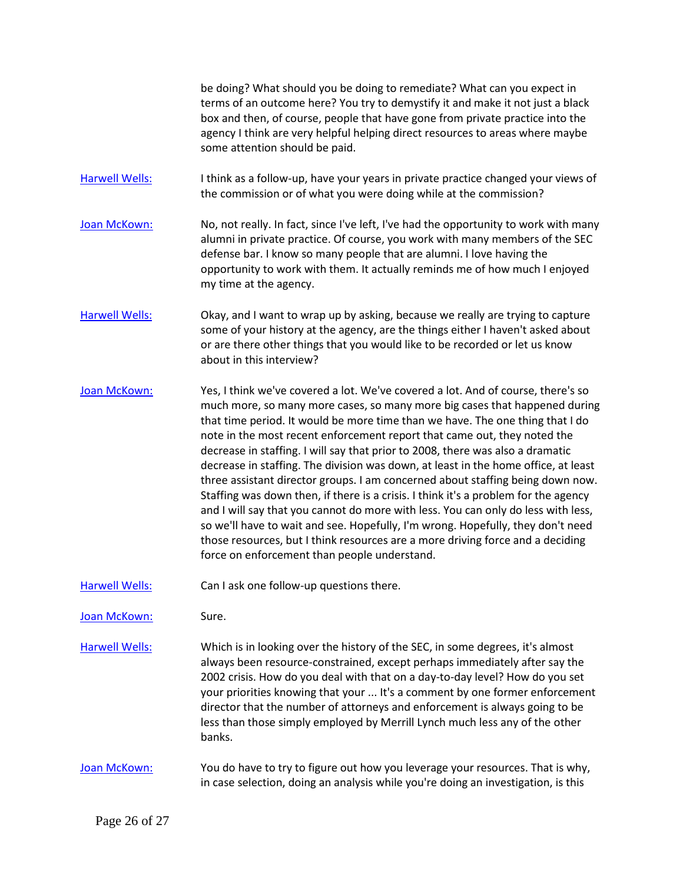be doing? What should you be doing to remediate? What can you expect in terms of an outcome here? You try to demystify it and make it not just a black box and then, of course, people that have gone from private practice into the agency I think are very helpful helping direct resources to areas where maybe some attention should be paid.

[Harwell Wells:](https://www.rev.com/transcript-editor/Edit?token=k4gY4ccAQlEwiq4Ex71h0q6_NiV1ccWAmXMQu1kAlnFDuWzIgC4SsNZwO57eSPOyUkJBFXnkOg_eTNf2ZQ8yaF6bEX4&loadFrom=DocumentSpeakerNameDeeplink&ts=4905.42) I think as a follow-up, have your years in private practice changed your views of the commission or of what you were doing while at the commission?

[Joan McKown:](https://www.rev.com/transcript-editor/Edit?token=QIG7dDSrTtxTdyJpHq99fR0mippzX91lj7C6IRic4VJweLgpjiVDwE84nKjMUqE4pcm-vzdHmWrZSvIz1Ed6nXZrndg&loadFrom=DocumentSpeakerNameDeeplink&ts=4913.05) No, not really. In fact, since I've left, I've had the opportunity to work with many alumni in private practice. Of course, you work with many members of the SEC defense bar. I know so many people that are alumni. I love having the opportunity to work with them. It actually reminds me of how much I enjoyed my time at the agency.

[Harwell Wells:](https://www.rev.com/transcript-editor/Edit?token=oajrRV6jgdylvU0nu-ccN1f9EED0CYOAuFQaUOc2Ce75XgHMXwHDTExNnFkVyoXL88tBIr2fuZdYK_nzm2v3JhAP1CY&loadFrom=DocumentSpeakerNameDeeplink&ts=4942.09) Okay, and I want to wrap up by asking, because we really are trying to capture some of your history at the agency, are the things either I haven't asked about or are there other things that you would like to be recorded or let us know about in this interview?

[Joan McKown:](https://www.rev.com/transcript-editor/Edit?token=U3_gZNP588lECnUcgT0W7j2AQD_fEeITJG_PeZlIsPV9gMcYCqgglHIc-3syPoJRNrOpBtECTUdjxOGrtN6-s25cC7w&loadFrom=DocumentSpeakerNameDeeplink&ts=4959) Yes, I think we've covered a lot. We've covered a lot. And of course, there's so much more, so many more cases, so many more big cases that happened during that time period. It would be more time than we have. The one thing that I do note in the most recent enforcement report that came out, they noted the decrease in staffing. I will say that prior to 2008, there was also a dramatic decrease in staffing. The division was down, at least in the home office, at least three assistant director groups. I am concerned about staffing being down now. Staffing was down then, if there is a crisis. I think it's a problem for the agency and I will say that you cannot do more with less. You can only do less with less, so we'll have to wait and see. Hopefully, I'm wrong. Hopefully, they don't need those resources, but I think resources are a more driving force and a deciding force on enforcement than people understand.

[Harwell Wells:](https://www.rev.com/transcript-editor/Edit?token=Z1_FD4pDvSv34q3Kba9H2GYGEwdJ0nxhqx5KJtwyDabtI_f_LdUZqShUs-ixwldZOPTkChmSrAHnSbG-VbcsUaQnEWo&loadFrom=DocumentSpeakerNameDeeplink&ts=5029.72) Can I ask one follow-up questions there.

[Joan McKown:](https://www.rev.com/transcript-editor/Edit?token=-ow3TGFShAOsNWj_cyodUgNsGskGeHSRFFfXOArRdbnDlA7bOE_yIcz2K7UBUjQvzeDwX6U_KZ3btmqr6Di1voq4wWE&loadFrom=DocumentSpeakerNameDeeplink&ts=5031.26) Sure.

[Harwell Wells:](https://www.rev.com/transcript-editor/Edit?token=24LCYqmzekuP1W_75LLYDcNTawdKk9qtUqe-srcKqvw-hgI872LmlES3fM4ImZz_O7NAfJlOqB82vvVjU7M1rkVFppo&loadFrom=DocumentSpeakerNameDeeplink&ts=5031.78) Which is in looking over the history of the SEC, in some degrees, it's almost always been resource-constrained, except perhaps immediately after say the 2002 crisis. How do you deal with that on a day-to-day level? How do you set your priorities knowing that your ... It's a comment by one former enforcement director that the number of attorneys and enforcement is always going to be less than those simply employed by Merrill Lynch much less any of the other banks.

[Joan McKown:](https://www.rev.com/transcript-editor/Edit?token=L2VbmnT3IxWmdWb037w6X59PCtcmbem-n3x9-h_hrU0dhi3lN9932ibK7j56dA4BBqdIZCBZNhJ7VvgrVxmAVJoMVGA&loadFrom=DocumentSpeakerNameDeeplink&ts=5061.1) You do have to try to figure out how you leverage your resources. That is why, in case selection, doing an analysis while you're doing an investigation, is this